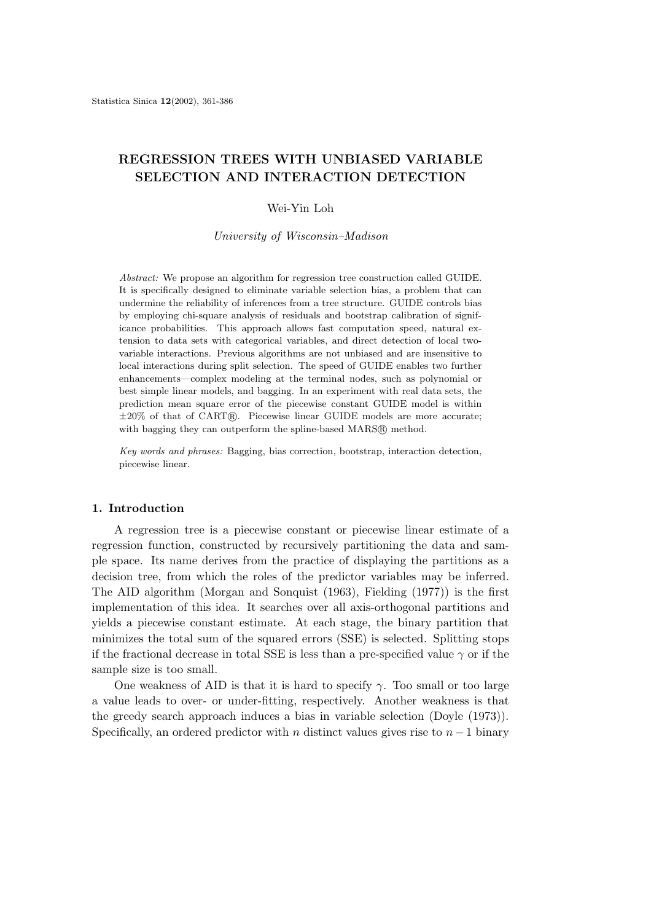# **REGRESSION TREES WITH UNBIASED VARIABLE SELECTION AND INTERACTION DETECTION**

## Wei-Yin Loh

*University of Wisconsin–Madison*

*Abstract:* We propose an algorithm for regression tree construction called GUIDE. It is specifically designed to eliminate variable selection bias, a problem that can undermine the reliability of inferences from a tree structure. GUIDE controls bias by employing chi-square analysis of residuals and bootstrap calibration of significance probabilities. This approach allows fast computation speed, natural extension to data sets with categorical variables, and direct detection of local twovariable interactions. Previous algorithms are not unbiased and are insensitive to local interactions during split selection. The speed of GUIDE enables two further enhancements—complex modeling at the terminal nodes, such as polynomial or best simple linear models, and bagging. In an experiment with real data sets, the prediction mean square error of the piecewise constant GUIDE model is within  $\pm 20\%$  of that of CARTR. Piecewise linear GUIDE models are more accurate; with bagging they can outperform the spline-based MARS@ method.

*Key words and phrases:* Bagging, bias correction, bootstrap, interaction detection, piecewise linear.

# **1. Introduction**

A regression tree is a piecewise constant or piecewise linear estimate of a regression function, constructed by recursively partitioning the data and sample space. Its name derives from the practice of displaying the partitions as a decision tree, from which the roles of the predictor variables may be inferred. The AID algorithm (Morgan and Sonquist (1963), Fielding (1977)) is the first implementation of this idea. It searches over all axis-orthogonal partitions and yields a piecewise constant estimate. At each stage, the binary partition that minimizes the total sum of the squared errors (SSE) is selected. Splitting stops if the fractional decrease in total SSE is less than a pre-specified value  $\gamma$  or if the sample size is too small.

One weakness of AID is that it is hard to specify  $\gamma$ . Too small or too large a value leads to over- or under-fitting, respectively. Another weakness is that the greedy search approach induces a bias in variable selection (Doyle (1973)). Specifically, an ordered predictor with n distinct values gives rise to  $n-1$  binary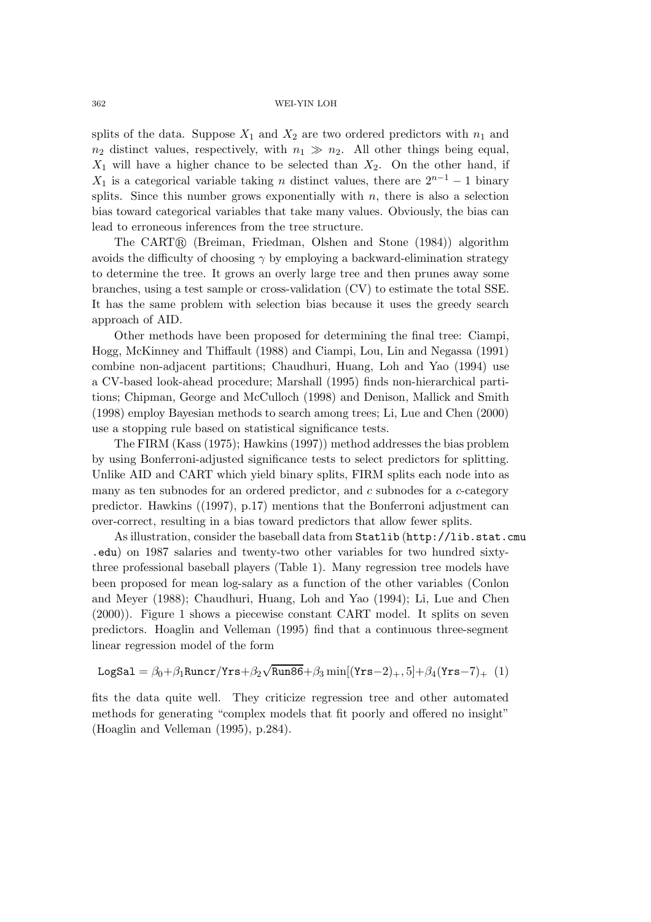splits of the data. Suppose  $X_1$  and  $X_2$  are two ordered predictors with  $n_1$  and  $n_2$  distinct values, respectively, with  $n_1 \gg n_2$ . All other things being equal,  $X_1$  will have a higher chance to be selected than  $X_2$ . On the other hand, if  $X_1$  is a categorical variable taking n distinct values, there are  $2^{n-1} - 1$  binary splits. Since this number grows exponentially with  $n$ , there is also a selection bias toward categorical variables that take many values. Obviously, the bias can lead to erroneous inferences from the tree structure.

The CART® (Breiman, Friedman, Olshen and Stone (1984)) algorithm avoids the difficulty of choosing  $\gamma$  by employing a backward-elimination strategy to determine the tree. It grows an overly large tree and then prunes away some branches, using a test sample or cross-validation (CV) to estimate the total SSE. It has the same problem with selection bias because it uses the greedy search approach of AID.

Other methods have been proposed for determining the final tree: Ciampi, Hogg, McKinney and Thiffault (1988) and Ciampi, Lou, Lin and Negassa (1991) combine non-adjacent partitions; Chaudhuri, Huang, Loh and Yao (1994) use a CV-based look-ahead procedure; Marshall (1995) finds non-hierarchical partitions; Chipman, George and McCulloch (1998) and Denison, Mallick and Smith (1998) employ Bayesian methods to search among trees; Li, Lue and Chen (2000) use a stopping rule based on statistical significance tests.

The FIRM (Kass (1975); Hawkins (1997)) method addresses the bias problem by using Bonferroni-adjusted significance tests to select predictors for splitting. Unlike AID and CART which yield binary splits, FIRM splits each node into as many as ten subnodes for an ordered predictor, and  $c$  subnodes for a  $c$ -category predictor. Hawkins ((1997), p.17) mentions that the Bonferroni adjustment can over-correct, resulting in a bias toward predictors that allow fewer splits.

As illustration, consider the baseball data from Statlib (http://lib.stat.cmu .edu) on 1987 salaries and twenty-two other variables for two hundred sixtythree professional baseball players (Table 1). Many regression tree models have been proposed for mean log-salary as a function of the other variables (Conlon and Meyer (1988); Chaudhuri, Huang, Loh and Yao (1994); Li, Lue and Chen (2000)). Figure 1 shows a piecewise constant CART model. It splits on seven predictors. Hoaglin and Velleman (1995) find that a continuous three-segment linear regression model of the form

$$
LogSal = \beta_0 + \beta_1 Runcr/Yrs + \beta_2 \sqrt{Run86} + \beta_3 min[(Yrs-2)_+, 5] + \beta_4 (Yrs-7)_+ (1)
$$

fits the data quite well. They criticize regression tree and other automated methods for generating "complex models that fit poorly and offered no insight" (Hoaglin and Velleman (1995), p.284).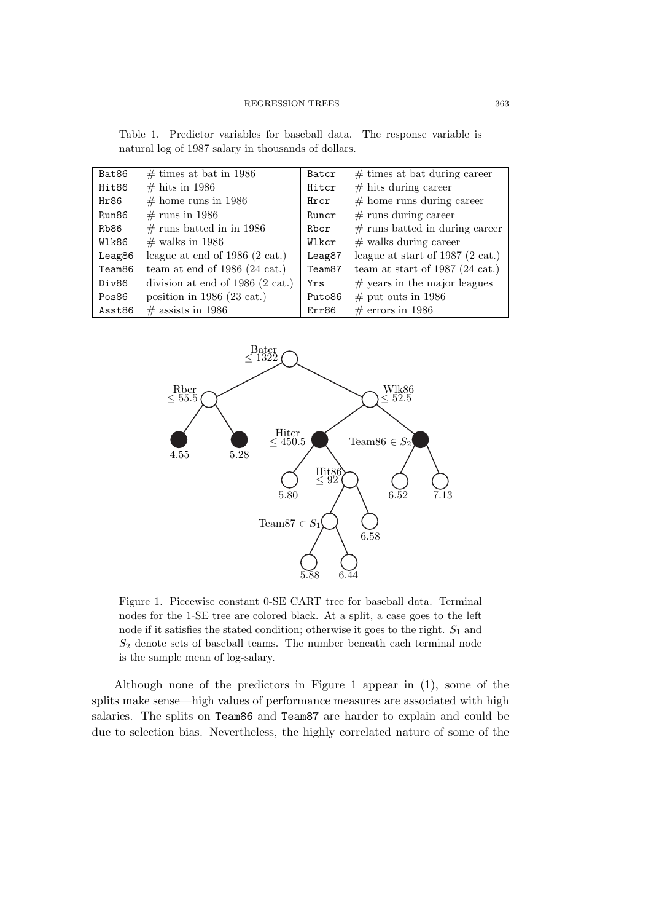Table 1. Predictor variables for baseball data. The response variable is natural log of 1987 salary in thousands of dollars.

| Bat86              | $\#$ times at bat in 1986            | Batcr              | $# \times$ times at bat during career      |
|--------------------|--------------------------------------|--------------------|--------------------------------------------|
| Hit86              | $\#$ hits in 1986                    | Hitcr              | $#$ hits during career                     |
| Hr86               | $#$ home runs in 1986                | Hrcr               | $#$ home runs during career                |
| Run86              | $\#$ runs in 1986                    | Runcr              | $#$ runs during career                     |
| Rb86               | $#$ runs batted in in 1986           | Rbcr               | $#$ runs batted in during career           |
| Wlk86              | $\#$ walks in 1986                   | Wlkcr              | $#$ walks during career                    |
| Leag86             | league at end of $1986$ (2 cat.)     | Leag87             | league at start of 1987 $(2 \text{ cat.})$ |
| Team <sub>86</sub> | team at end of $1986$ (24 cat.)      | Team <sub>87</sub> | team at start of 1987 (24 cat.)            |
| Div86              | division at end of $1986$ (2 cat.)   | Yrs                | $#$ years in the major leagues             |
| Pos86              | position in 1986 $(23 \text{ cat.})$ | Puto86             | $\#$ put outs in 1986                      |
| Asst86             | $\#$ assists in 1986                 | Err86              | $\#$ errors in 1986                        |



Figure 1. Piecewise constant 0-SE CART tree for baseball data. Terminal nodes for the 1-SE tree are colored black. At a split, a case goes to the left node if it satisfies the stated condition; otherwise it goes to the right.  $S_1$  and  $S<sub>2</sub>$  denote sets of baseball teams. The number beneath each terminal node is the sample mean of log-salary.

Although none of the predictors in Figure 1 appear in (1), some of the splits make sense—high values of performance measures are associated with high salaries. The splits on Team86 and Team87 are harder to explain and could be due to selection bias. Nevertheless, the highly correlated nature of some of the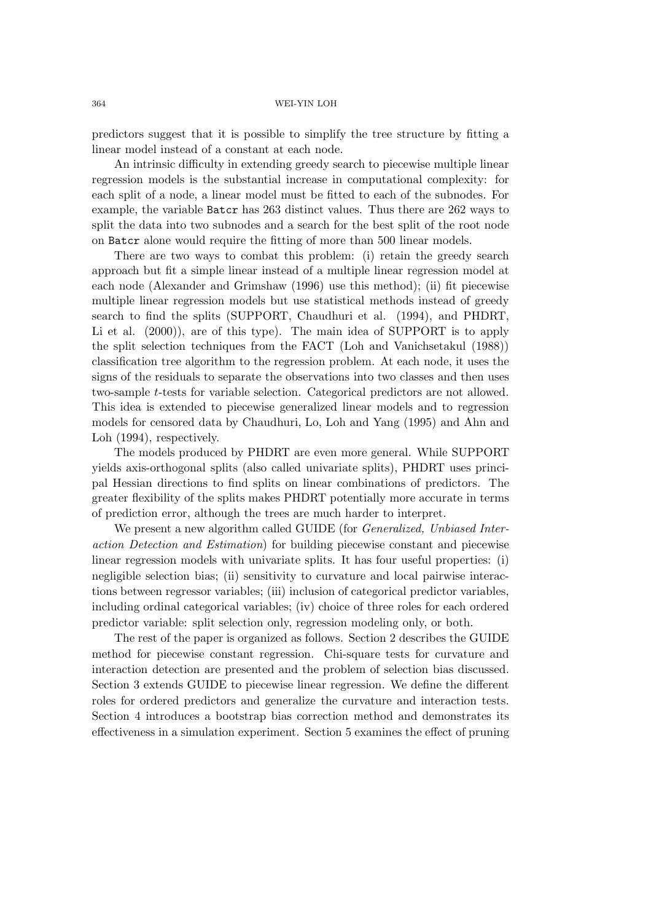predictors suggest that it is possible to simplify the tree structure by fitting a linear model instead of a constant at each node.

An intrinsic difficulty in extending greedy search to piecewise multiple linear regression models is the substantial increase in computational complexity: for each split of a node, a linear model must be fitted to each of the subnodes. For example, the variable Batcr has 263 distinct values. Thus there are 262 ways to split the data into two subnodes and a search for the best split of the root node on Batcr alone would require the fitting of more than 500 linear models.

There are two ways to combat this problem: (i) retain the greedy search approach but fit a simple linear instead of a multiple linear regression model at each node (Alexander and Grimshaw (1996) use this method); (ii) fit piecewise multiple linear regression models but use statistical methods instead of greedy search to find the splits (SUPPORT, Chaudhuri et al. (1994), and PHDRT, Li et al.  $(2000)$ , are of this type). The main idea of SUPPORT is to apply the split selection techniques from the FACT (Loh and Vanichsetakul (1988)) classification tree algorithm to the regression problem. At each node, it uses the signs of the residuals to separate the observations into two classes and then uses two-sample t-tests for variable selection. Categorical predictors are not allowed. This idea is extended to piecewise generalized linear models and to regression models for censored data by Chaudhuri, Lo, Loh and Yang (1995) and Ahn and Loh (1994), respectively.

The models produced by PHDRT are even more general. While SUPPORT yields axis-orthogonal splits (also called univariate splits), PHDRT uses principal Hessian directions to find splits on linear combinations of predictors. The greater flexibility of the splits makes PHDRT potentially more accurate in terms of prediction error, although the trees are much harder to interpret.

We present a new algorithm called GUIDE (for *Generalized, Unbiased Interaction Detection and Estimation*) for building piecewise constant and piecewise linear regression models with univariate splits. It has four useful properties: (i) negligible selection bias; (ii) sensitivity to curvature and local pairwise interactions between regressor variables; (iii) inclusion of categorical predictor variables, including ordinal categorical variables; (iv) choice of three roles for each ordered predictor variable: split selection only, regression modeling only, or both.

The rest of the paper is organized as follows. Section 2 describes the GUIDE method for piecewise constant regression. Chi-square tests for curvature and interaction detection are presented and the problem of selection bias discussed. Section 3 extends GUIDE to piecewise linear regression. We define the different roles for ordered predictors and generalize the curvature and interaction tests. Section 4 introduces a bootstrap bias correction method and demonstrates its effectiveness in a simulation experiment. Section 5 examines the effect of pruning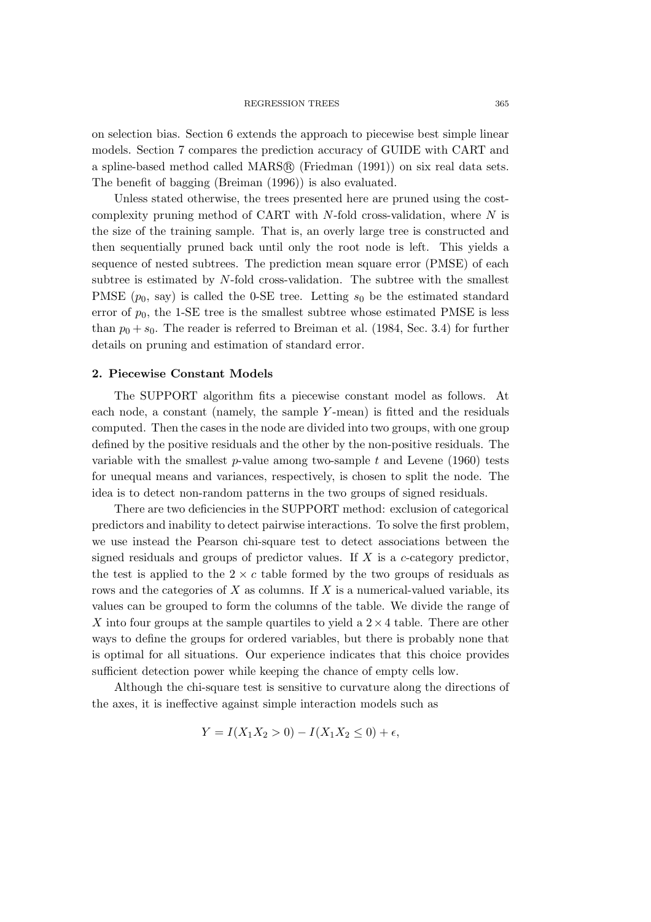on selection bias. Section 6 extends the approach to piecewise best simple linear models. Section 7 compares the prediction accuracy of GUIDE with CART and a spline-based method called MARS® (Friedman (1991)) on six real data sets. The benefit of bagging (Breiman (1996)) is also evaluated.

Unless stated otherwise, the trees presented here are pruned using the costcomplexity pruning method of CART with  $N$ -fold cross-validation, where  $N$  is the size of the training sample. That is, an overly large tree is constructed and then sequentially pruned back until only the root node is left. This yields a sequence of nested subtrees. The prediction mean square error (PMSE) of each subtree is estimated by N-fold cross-validation. The subtree with the smallest PMSE  $(p_0, \text{say})$  is called the 0-SE tree. Letting  $s_0$  be the estimated standard error of  $p_0$ , the 1-SE tree is the smallest subtree whose estimated PMSE is less than  $p_0 + s_0$ . The reader is referred to Breiman et al. (1984, Sec. 3.4) for further details on pruning and estimation of standard error.

### **2. Piecewise Constant Models**

The SUPPORT algorithm fits a piecewise constant model as follows. At each node, a constant (namely, the sample Y-mean) is fitted and the residuals computed. Then the cases in the node are divided into two groups, with one group defined by the positive residuals and the other by the non-positive residuals. The variable with the smallest  $p$ -value among two-sample  $t$  and Levene (1960) tests for unequal means and variances, respectively, is chosen to split the node. The idea is to detect non-random patterns in the two groups of signed residuals.

There are two deficiencies in the SUPPORT method: exclusion of categorical predictors and inability to detect pairwise interactions. To solve the first problem, we use instead the Pearson chi-square test to detect associations between the signed residuals and groups of predictor values. If  $X$  is a  $c$ -category predictor, the test is applied to the  $2 \times c$  table formed by the two groups of residuals as rows and the categories of  $X$  as columns. If  $X$  is a numerical-valued variable, its values can be grouped to form the columns of the table. We divide the range of X into four groups at the sample quartiles to yield a  $2 \times 4$  table. There are other ways to define the groups for ordered variables, but there is probably none that is optimal for all situations. Our experience indicates that this choice provides sufficient detection power while keeping the chance of empty cells low.

Although the chi-square test is sensitive to curvature along the directions of the axes, it is ineffective against simple interaction models such as

$$
Y = I(X_1 X_2 > 0) - I(X_1 X_2 \le 0) + \epsilon,
$$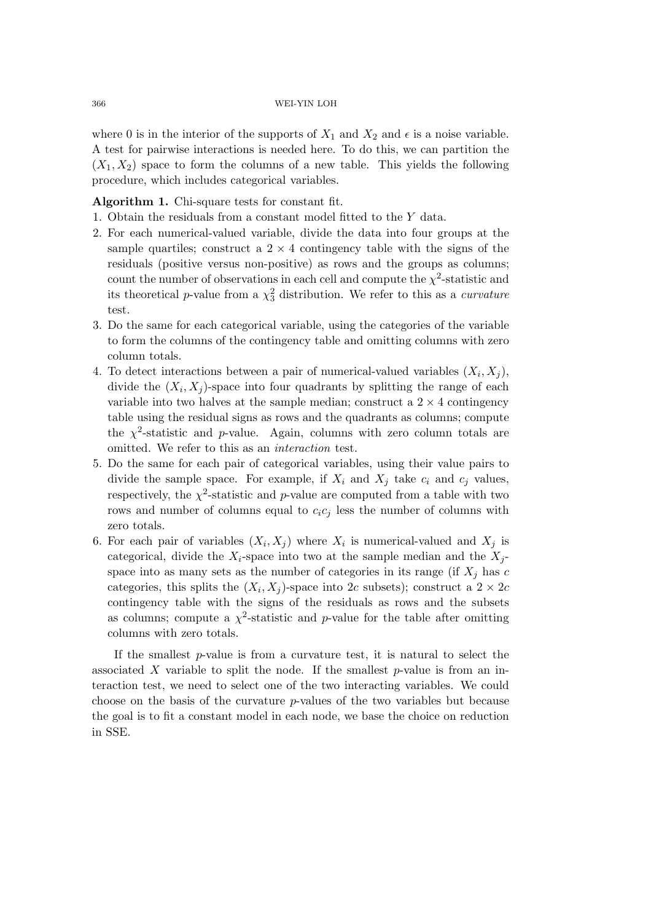where 0 is in the interior of the supports of  $X_1$  and  $X_2$  and  $\epsilon$  is a noise variable. A test for pairwise interactions is needed here. To do this, we can partition the  $(X_1, X_2)$  space to form the columns of a new table. This yields the following procedure, which includes categorical variables.

# **Algorithm 1.** Chi-square tests for constant fit.

- 1. Obtain the residuals from a constant model fitted to the Y data.
- 2. For each numerical-valued variable, divide the data into four groups at the sample quartiles; construct a  $2 \times 4$  contingency table with the signs of the residuals (positive versus non-positive) as rows and the groups as columns; count the number of observations in each cell and compute the  $\chi^2$ -statistic and its theoretical *p*-value from a  $\chi^2$  distribution. We refer to this as a *curvature* test.
- 3. Do the same for each categorical variable, using the categories of the variable to form the columns of the contingency table and omitting columns with zero column totals.
- 4. To detect interactions between a pair of numerical-valued variables  $(X_i, X_j)$ , divide the  $(X_i, X_j)$ -space into four quadrants by splitting the range of each variable into two halves at the sample median; construct a  $2 \times 4$  contingency table using the residual signs as rows and the quadrants as columns; compute the  $\chi^2$ -statistic and *p*-value. Again, columns with zero column totals are omitted. We refer to this as an *interaction* test.
- 5. Do the same for each pair of categorical variables, using their value pairs to divide the sample space. For example, if  $X_i$  and  $X_j$  take  $c_i$  and  $c_j$  values, respectively, the  $\chi^2$ -statistic and p-value are computed from a table with two rows and number of columns equal to  $c_i c_j$  less the number of columns with zero totals.
- 6. For each pair of variables  $(X_i, X_j)$  where  $X_i$  is numerical-valued and  $X_j$  is categorical, divide the  $X_i$ -space into two at the sample median and the  $X_i$ space into as many sets as the number of categories in its range (if  $X_i$  has c categories, this splits the  $(X_i, X_j)$ -space into 2c subsets); construct a  $2 \times 2c$ contingency table with the signs of the residuals as rows and the subsets as columns; compute a  $\chi^2$ -statistic and p-value for the table after omitting columns with zero totals.

If the smallest  $p$ -value is from a curvature test, it is natural to select the associated X variable to split the node. If the smallest  $p$ -value is from an interaction test, we need to select one of the two interacting variables. We could choose on the basis of the curvature p-values of the two variables but because the goal is to fit a constant model in each node, we base the choice on reduction in SSE.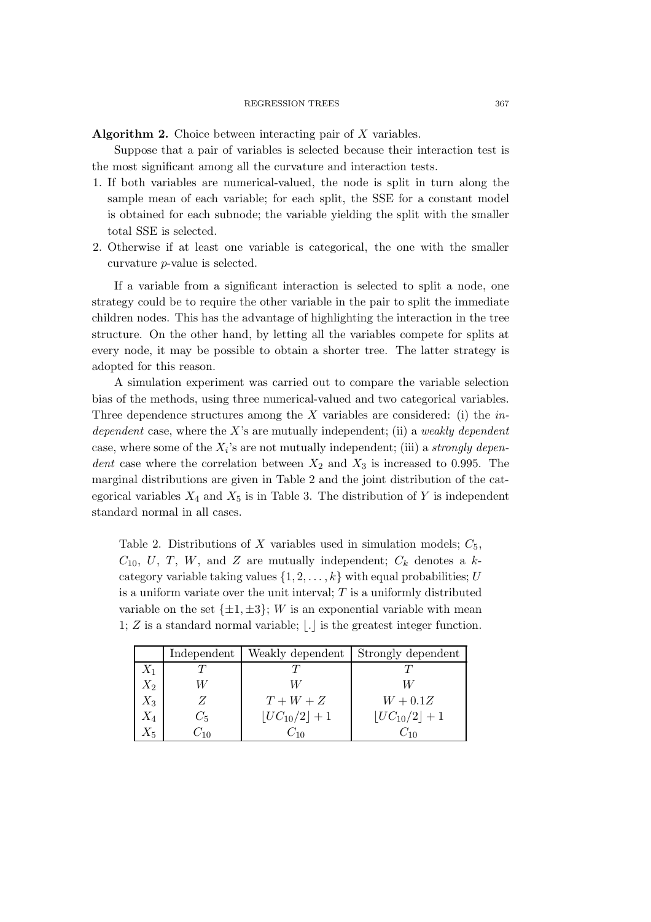**Algorithm 2.** Choice between interacting pair of X variables.

Suppose that a pair of variables is selected because their interaction test is the most significant among all the curvature and interaction tests.

- 1. If both variables are numerical-valued, the node is split in turn along the sample mean of each variable; for each split, the SSE for a constant model is obtained for each subnode; the variable yielding the split with the smaller total SSE is selected.
- 2. Otherwise if at least one variable is categorical, the one with the smaller curvature p-value is selected.

If a variable from a significant interaction is selected to split a node, one strategy could be to require the other variable in the pair to split the immediate children nodes. This has the advantage of highlighting the interaction in the tree structure. On the other hand, by letting all the variables compete for splits at every node, it may be possible to obtain a shorter tree. The latter strategy is adopted for this reason.

A simulation experiment was carried out to compare the variable selection bias of the methods, using three numerical-valued and two categorical variables. Three dependence structures among the X variables are considered: (i) the *independent* case, where the X's are mutually independent; (ii) a *weakly dependent* case, where some of the X*i*'s are not mutually independent; (iii) a *strongly dependent* case where the correlation between  $X_2$  and  $X_3$  is increased to 0.995. The marginal distributions are given in Table 2 and the joint distribution of the categorical variables  $X_4$  and  $X_5$  is in Table 3. The distribution of Y is independent standard normal in all cases.

Table 2. Distributions of X variables used in simulation models;  $C_5$ ,  $C_{10}$ , U, T, W, and Z are mutually independent;  $C_k$  denotes a kcategory variable taking values  $\{1, 2, \ldots, k\}$  with equal probabilities; U is a uniform variate over the unit interval;  $T$  is a uniformly distributed variable on the set  $\{\pm 1, \pm 3\}$ ; W is an exponential variable with mean 1;  $Z$  is a standard normal variable;  $|.|$  is the greatest integer function.

|         | Independent | Weakly dependent  | Strongly dependent |
|---------|-------------|-------------------|--------------------|
| $X_1$   |             |                   |                    |
| $X_2$   |             |                   |                    |
| $X_3$   |             | $T+W+Z$           | $W + 0.1Z$         |
| $X_4$   | $C_5$       | $ UC_{10}/2  + 1$ | $ UC_{10}/2  + 1$  |
| $X_{5}$ | $C_{10}$    | $C_{10}$          | $C_{10}$           |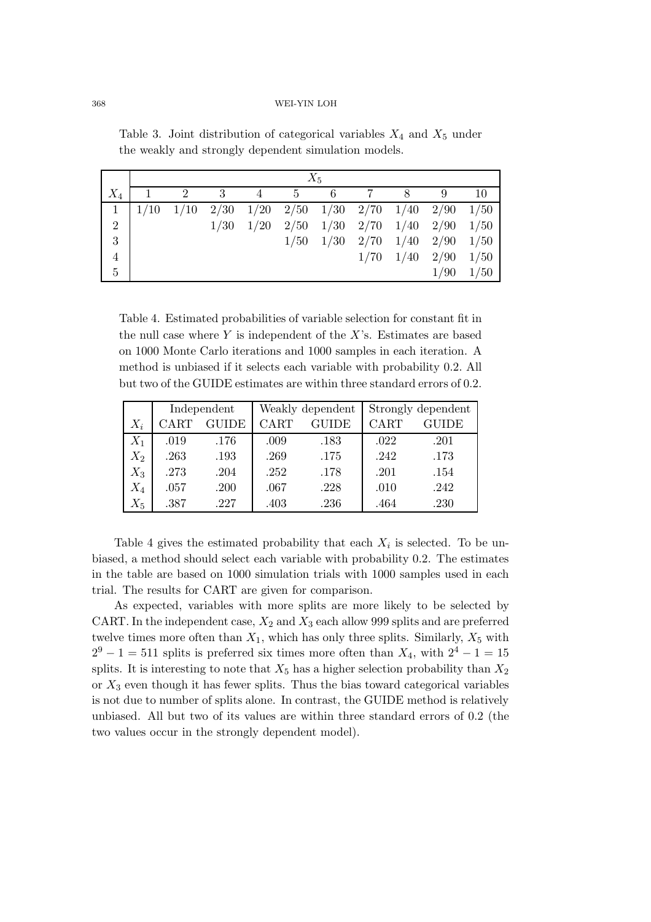|                |      | $X_5$ |      |      |            |                      |                |                   |      |      |
|----------------|------|-------|------|------|------------|----------------------|----------------|-------------------|------|------|
| $X_4$          |      | 2     | 3    | 4    | $5\degree$ | 6                    | $\overline{7}$ | 8                 |      | 10   |
| $\mathbf{1}$   | 1/10 | 1/10  | 2/30 | 1/20 |            | $2/50$ $1/30$ $2/70$ |                | 1/40              | 2/90 | 1/50 |
| $\overline{2}$ |      |       | 1/30 | 1/20 | 2/50       | $1/30$ 2/70          |                | 1/40              | 2/90 | 1/50 |
| 3              |      |       |      |      | 1/50       | $1/30 \quad 2/70$    |                | 1/40              | 2/90 | 1/50 |
| $\overline{4}$ |      |       |      |      |            |                      | 1/70           | $1/40 \quad 2/90$ |      | 1/50 |
| $\overline{5}$ |      |       |      |      |            |                      |                |                   | 1/90 | 1/50 |

Table 3. Joint distribution of categorical variables  $X_4$  and  $X_5$  under the weakly and strongly dependent simulation models.

Table 4. Estimated probabilities of variable selection for constant fit in the null case where  $Y$  is independent of the  $X$ 's. Estimates are based on 1000 Monte Carlo iterations and 1000 samples in each iteration. A method is unbiased if it selects each variable with probability 0.2. All but two of the GUIDE estimates are within three standard errors of 0.2.

|       | Independent |              |      | Weakly dependent | Strongly dependent |              |  |
|-------|-------------|--------------|------|------------------|--------------------|--------------|--|
| $X_i$ | CART        | <b>GUIDE</b> | CART | <b>GUIDE</b>     | CART               | <b>GUIDE</b> |  |
| $X_1$ | .019        | .176         | .009 | .183             | .022               | .201         |  |
| $X_2$ | .263        | .193         | .269 | .175             | .242               | .173         |  |
| $X_3$ | .273        | .204         | .252 | .178             | .201               | .154         |  |
| $X_4$ | .057        | .200         | .067 | .228             | .010               | .242         |  |
| $X_5$ | .387        | .227         | .403 | .236             | .464               | .230         |  |

Table 4 gives the estimated probability that each  $X_i$  is selected. To be unbiased, a method should select each variable with probability 0.2. The estimates in the table are based on 1000 simulation trials with 1000 samples used in each trial. The results for CART are given for comparison.

As expected, variables with more splits are more likely to be selected by CART. In the independent case,  $X_2$  and  $X_3$  each allow 999 splits and are preferred twelve times more often than  $X_1$ , which has only three splits. Similarly,  $X_5$  with  $2^9 - 1 = 511$  splits is preferred six times more often than  $X_4$ , with  $2^4 - 1 = 15$ splits. It is interesting to note that  $X_5$  has a higher selection probability than  $X_2$ or  $X_3$  even though it has fewer splits. Thus the bias toward categorical variables is not due to number of splits alone. In contrast, the GUIDE method is relatively unbiased. All but two of its values are within three standard errors of 0.2 (the two values occur in the strongly dependent model).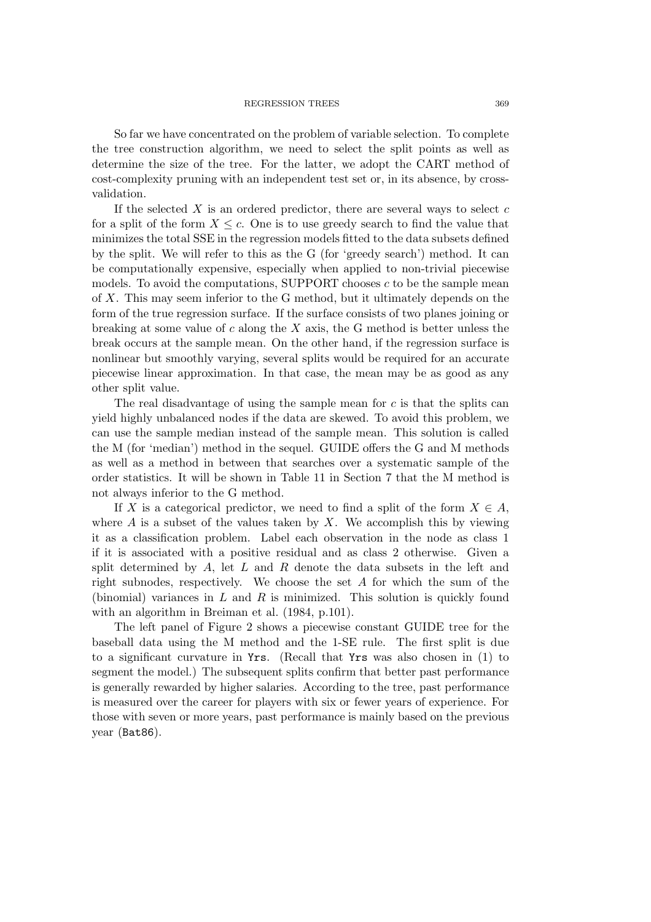#### REGRESSION TREES 369

So far we have concentrated on the problem of variable selection. To complete the tree construction algorithm, we need to select the split points as well as determine the size of the tree. For the latter, we adopt the CART method of cost-complexity pruning with an independent test set or, in its absence, by crossvalidation.

If the selected  $X$  is an ordered predictor, there are several ways to select  $c$ for a split of the form  $X \leq c$ . One is to use greedy search to find the value that minimizes the total SSE in the regression models fitted to the data subsets defined by the split. We will refer to this as the G (for 'greedy search') method. It can be computationally expensive, especially when applied to non-trivial piecewise models. To avoid the computations, SUPPORT chooses  $c$  to be the sample mean of X. This may seem inferior to the G method, but it ultimately depends on the form of the true regression surface. If the surface consists of two planes joining or breaking at some value of  $c$  along the  $X$  axis, the G method is better unless the break occurs at the sample mean. On the other hand, if the regression surface is nonlinear but smoothly varying, several splits would be required for an accurate piecewise linear approximation. In that case, the mean may be as good as any other split value.

The real disadvantage of using the sample mean for  $c$  is that the splits can yield highly unbalanced nodes if the data are skewed. To avoid this problem, we can use the sample median instead of the sample mean. This solution is called the M (for 'median') method in the sequel. GUIDE offers the G and M methods as well as a method in between that searches over a systematic sample of the order statistics. It will be shown in Table 11 in Section 7 that the M method is not always inferior to the G method.

If X is a categorical predictor, we need to find a split of the form  $X \in A$ , where  $A$  is a subset of the values taken by  $X$ . We accomplish this by viewing it as a classification problem. Label each observation in the node as class 1 if it is associated with a positive residual and as class 2 otherwise. Given a split determined by  $A$ , let  $L$  and  $R$  denote the data subsets in the left and right subnodes, respectively. We choose the set A for which the sum of the (binomial) variances in  $L$  and  $R$  is minimized. This solution is quickly found with an algorithm in Breiman et al. (1984, p.101).

The left panel of Figure 2 shows a piecewise constant GUIDE tree for the baseball data using the M method and the 1-SE rule. The first split is due to a significant curvature in Yrs. (Recall that Yrs was also chosen in (1) to segment the model.) The subsequent splits confirm that better past performance is generally rewarded by higher salaries. According to the tree, past performance is measured over the career for players with six or fewer years of experience. For those with seven or more years, past performance is mainly based on the previous year (Bat86).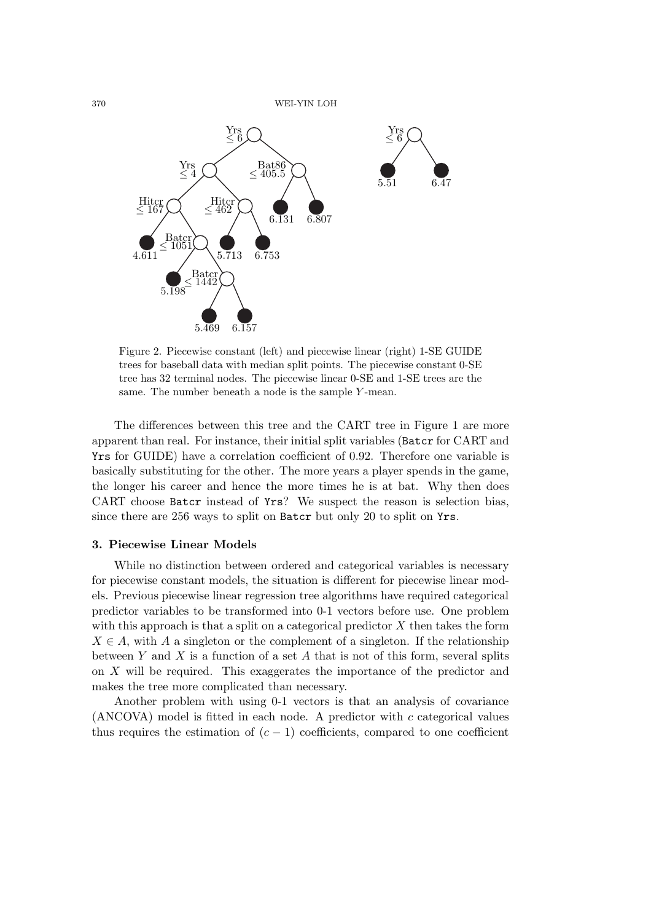

Figure 2. Piecewise constant (left) and piecewise linear (right) 1-SE GUIDE trees for baseball data with median split points. The piecewise constant 0-SE tree has 32 terminal nodes. The piecewise linear 0-SE and 1-SE trees are the same. The number beneath a node is the sample Y-mean.

The differences between this tree and the CART tree in Figure 1 are more apparent than real. For instance, their initial split variables (Batcr for CART and Yrs for GUIDE) have a correlation coefficient of 0.92. Therefore one variable is basically substituting for the other. The more years a player spends in the game, the longer his career and hence the more times he is at bat. Why then does CART choose Batcr instead of Yrs? We suspect the reason is selection bias, since there are 256 ways to split on Batcr but only 20 to split on Yrs.

# **3. Piecewise Linear Models**

While no distinction between ordered and categorical variables is necessary for piecewise constant models, the situation is different for piecewise linear models. Previous piecewise linear regression tree algorithms have required categorical predictor variables to be transformed into 0-1 vectors before use. One problem with this approach is that a split on a categorical predictor  $X$  then takes the form  $X \in A$ , with A a singleton or the complement of a singleton. If the relationship between Y and X is a function of a set A that is not of this form, several splits on X will be required. This exaggerates the importance of the predictor and makes the tree more complicated than necessary.

Another problem with using 0-1 vectors is that an analysis of covariance  $(ANCOVA)$  model is fitted in each node. A predictor with c categorical values thus requires the estimation of  $(c - 1)$  coefficients, compared to one coefficient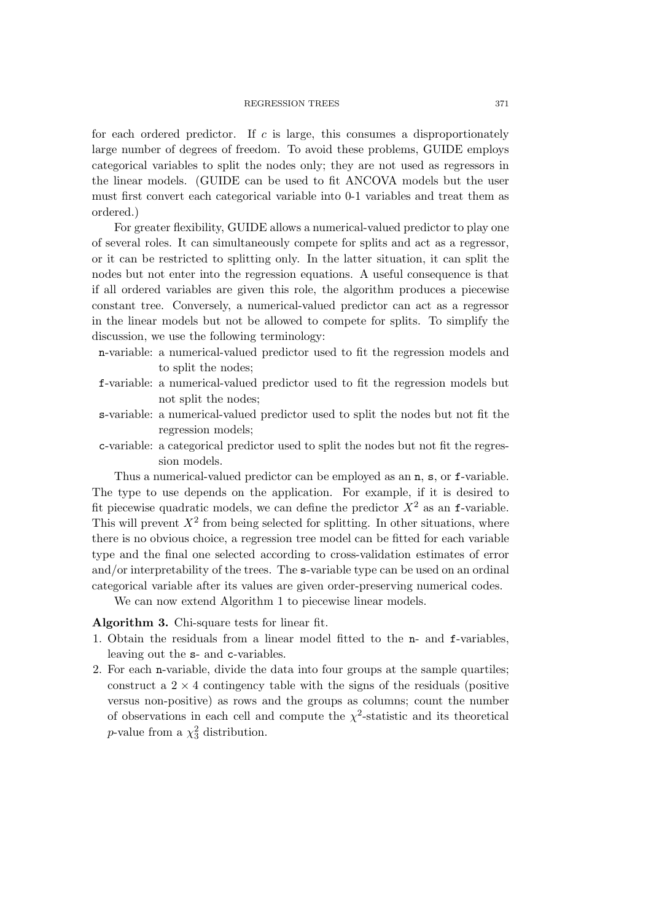#### REGRESSION TREES 371

for each ordered predictor. If c is large, this consumes a disproportionately large number of degrees of freedom. To avoid these problems, GUIDE employs categorical variables to split the nodes only; they are not used as regressors in the linear models. (GUIDE can be used to fit ANCOVA models but the user must first convert each categorical variable into 0-1 variables and treat them as ordered.)

For greater flexibility, GUIDE allows a numerical-valued predictor to play one of several roles. It can simultaneously compete for splits and act as a regressor, or it can be restricted to splitting only. In the latter situation, it can split the nodes but not enter into the regression equations. A useful consequence is that if all ordered variables are given this role, the algorithm produces a piecewise constant tree. Conversely, a numerical-valued predictor can act as a regressor in the linear models but not be allowed to compete for splits. To simplify the discussion, we use the following terminology:

- n-variable: a numerical-valued predictor used to fit the regression models and to split the nodes;
- f-variable: a numerical-valued predictor used to fit the regression models but not split the nodes;
- s-variable: a numerical-valued predictor used to split the nodes but not fit the regression models;
- c-variable: a categorical predictor used to split the nodes but not fit the regression models.

Thus a numerical-valued predictor can be employed as an n, s, or f-variable. The type to use depends on the application. For example, if it is desired to fit piecewise quadratic models, we can define the predictor  $X^2$  as an f-variable. This will prevent  $X^2$  from being selected for splitting. In other situations, where there is no obvious choice, a regression tree model can be fitted for each variable type and the final one selected according to cross-validation estimates of error and/or interpretability of the trees. The s-variable type can be used on an ordinal categorical variable after its values are given order-preserving numerical codes.

We can now extend Algorithm 1 to piecewise linear models.

**Algorithm 3.** Chi-square tests for linear fit.

- 1. Obtain the residuals from a linear model fitted to the n- and f-variables, leaving out the s- and c-variables.
- 2. For each n-variable, divide the data into four groups at the sample quartiles; construct a  $2 \times 4$  contingency table with the signs of the residuals (positive versus non-positive) as rows and the groups as columns; count the number of observations in each cell and compute the  $\chi^2$ -statistic and its theoretical p-value from a  $\chi^2$  distribution.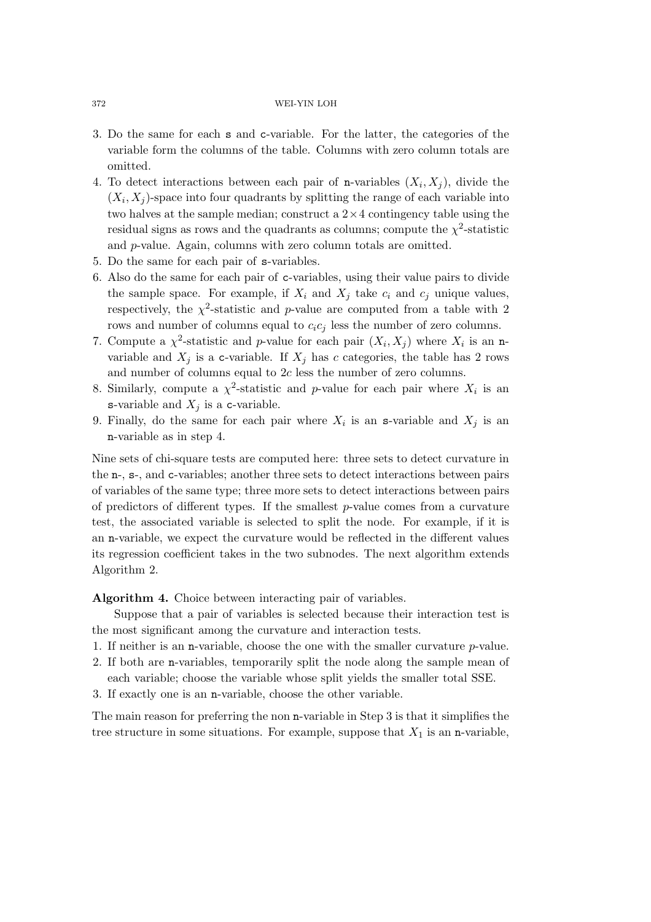- 3. Do the same for each s and c-variable. For the latter, the categories of the variable form the columns of the table. Columns with zero column totals are omitted.
- 4. To detect interactions between each pair of n-variables  $(X_i, X_j)$ , divide the  $(X_i, X_j)$ -space into four quadrants by splitting the range of each variable into two halves at the sample median; construct a  $2 \times 4$  contingency table using the residual signs as rows and the quadrants as columns; compute the  $\chi^2$ -statistic and p-value. Again, columns with zero column totals are omitted.
- 5. Do the same for each pair of s-variables.
- 6. Also do the same for each pair of c-variables, using their value pairs to divide the sample space. For example, if  $X_i$  and  $X_j$  take  $c_i$  and  $c_j$  unique values, respectively, the  $\chi^2$ -statistic and p-value are computed from a table with 2 rows and number of columns equal to  $c_i c_j$  less the number of zero columns.
- 7. Compute a  $\chi^2$ -statistic and p-value for each pair  $(X_i, X_j)$  where  $X_i$  is an nvariable and  $X_j$  is a c-variable. If  $X_j$  has c categories, the table has 2 rows and number of columns equal to 2c less the number of zero columns.
- 8. Similarly, compute a  $\chi^2$ -statistic and p-value for each pair where  $X_i$  is an s-variable and  $X_j$  is a c-variable.
- 9. Finally, do the same for each pair where  $X_i$  is an s-variable and  $X_j$  is an n-variable as in step 4.

Nine sets of chi-square tests are computed here: three sets to detect curvature in the n-, s-, and c-variables; another three sets to detect interactions between pairs of variables of the same type; three more sets to detect interactions between pairs of predictors of different types. If the smallest  $p$ -value comes from a curvature test, the associated variable is selected to split the node. For example, if it is an n-variable, we expect the curvature would be reflected in the different values its regression coefficient takes in the two subnodes. The next algorithm extends Algorithm 2.

**Algorithm 4.** Choice between interacting pair of variables.

Suppose that a pair of variables is selected because their interaction test is the most significant among the curvature and interaction tests.

- 1. If neither is an n-variable, choose the one with the smaller curvature  $p$ -value.
- 2. If both are n-variables, temporarily split the node along the sample mean of each variable; choose the variable whose split yields the smaller total SSE.
- 3. If exactly one is an n-variable, choose the other variable.

The main reason for preferring the non n-variable in Step 3 is that it simplifies the tree structure in some situations. For example, suppose that  $X_1$  is an n-variable,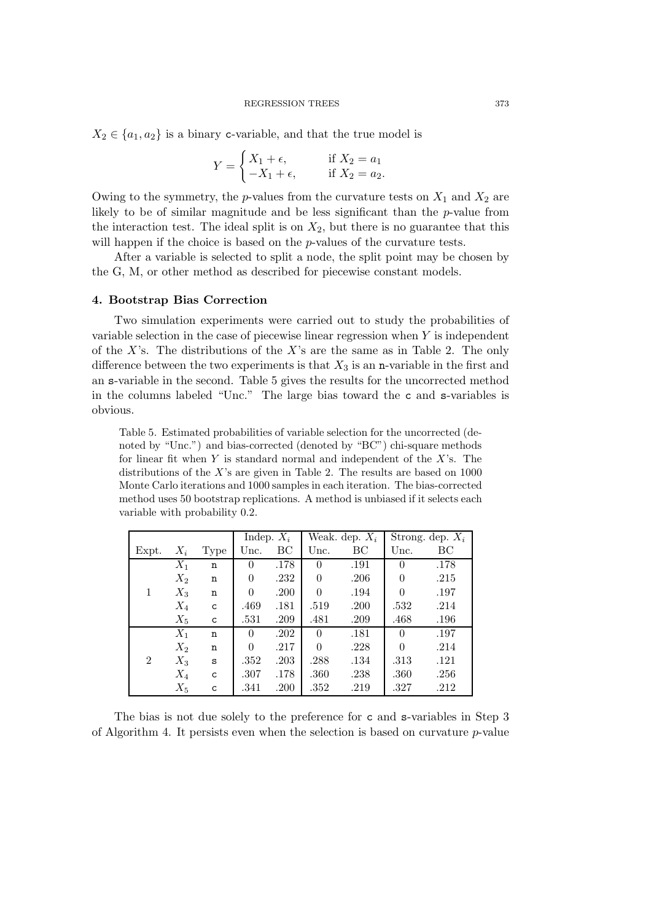$X_2 \in \{a_1, a_2\}$  is a binary c-variable, and that the true model is

$$
Y = \begin{cases} X_1 + \epsilon, & \text{if } X_2 = a_1 \\ -X_1 + \epsilon, & \text{if } X_2 = a_2. \end{cases}
$$

Owing to the symmetry, the p-values from the curvature tests on  $X_1$  and  $X_2$  are likely to be of similar magnitude and be less significant than the p-value from the interaction test. The ideal split is on  $X_2$ , but there is no guarantee that this will happen if the choice is based on the *p*-values of the curvature tests.

After a variable is selected to split a node, the split point may be chosen by the G, M, or other method as described for piecewise constant models.

#### **4. Bootstrap Bias Correction**

Two simulation experiments were carried out to study the probabilities of variable selection in the case of piecewise linear regression when  $Y$  is independent of the X's. The distributions of the X's are the same as in Table 2. The only difference between the two experiments is that  $X_3$  is an n-variable in the first and an s-variable in the second. Table 5 gives the results for the uncorrected method in the columns labeled "Unc." The large bias toward the c and s-variables is obvious.

Table 5. Estimated probabilities of variable selection for the uncorrected (denoted by "Unc.") and bias-corrected (denoted by "BC") chi-square methods for linear fit when  $Y$  is standard normal and independent of the  $X$ 's. The distributions of the  $X$ 's are given in Table 2. The results are based on  $1000$ Monte Carlo iterations and 1000 samples in each iteration. The bias-corrected method uses 50 bootstrap replications. A method is unbiased if it selects each variable with probability 0.2.

|                |       |      |          | Weak. dep. $X_i$<br>Indep. $X_i$ |                | Strong. dep. $X_i$ |                |      |
|----------------|-------|------|----------|----------------------------------|----------------|--------------------|----------------|------|
| Expt.          | $X_i$ | Type | Unc.     | ВC                               | Unc.           | BC                 | Unc.           | ВC   |
|                | $X_1$ | n    | $\theta$ | .178                             | $\overline{0}$ | .191               | $\overline{0}$ | .178 |
|                | $X_2$ | n    | $\Omega$ | .232                             | $\theta$       | .206               | $\theta$       | .215 |
| 1              | $X_3$ | n    | $\Omega$ | .200                             | $\theta$       | .194               | $\theta$       | .197 |
|                | $X_4$ | C    | .469     | .181                             | .519           | .200               | .532           | .214 |
|                | $X_5$ | C    | .531     | .209                             | .481           | .209               | .468           | .196 |
|                | $X_1$ | n    | $\Omega$ | .202                             | $\Omega$       | .181               | $\Omega$       | .197 |
|                | $X_2$ | n    | $\Omega$ | .217                             | $\theta$       | .228               | $\theta$       | .214 |
| $\overline{2}$ | $X_3$ | S    | .352     | .203                             | .288           | .134               | .313           | .121 |
|                | $X_4$ | C    | .307     | .178                             | .360           | .238               | .360           | .256 |
|                | $X_5$ | C    | .341     | .200                             | .352           | .219               | .327           | .212 |

The bias is not due solely to the preference for c and s-variables in Step 3 of Algorithm 4. It persists even when the selection is based on curvature p-value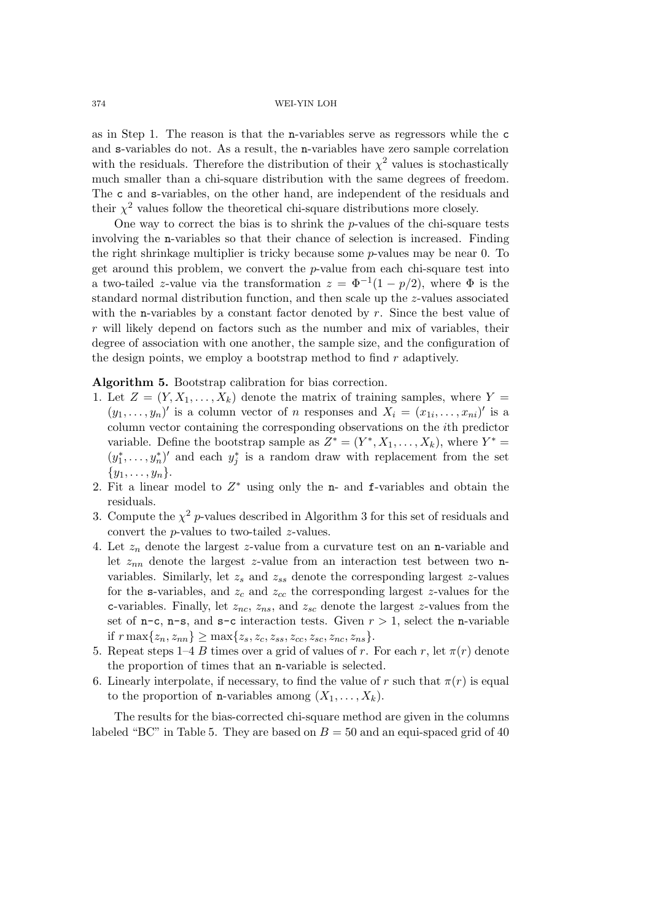as in Step 1. The reason is that the n-variables serve as regressors while the c and s-variables do not. As a result, the n-variables have zero sample correlation with the residuals. Therefore the distribution of their  $\chi^2$  values is stochastically much smaller than a chi-square distribution with the same degrees of freedom. The c and s-variables, on the other hand, are independent of the residuals and their  $\chi^2$  values follow the theoretical chi-square distributions more closely.

One way to correct the bias is to shrink the p-values of the chi-square tests involving the n-variables so that their chance of selection is increased. Finding the right shrinkage multiplier is tricky because some p-values may be near 0. To get around this problem, we convert the  $p$ -value from each chi-square test into a two-tailed z-value via the transformation  $z = \Phi^{-1}(1 - p/2)$ , where  $\Phi$  is the standard normal distribution function, and then scale up the z-values associated with the n-variables by a constant factor denoted by  $r$ . Since the best value of r will likely depend on factors such as the number and mix of variables, their degree of association with one another, the sample size, and the configuration of the design points, we employ a bootstrap method to find  $r$  adaptively.

**Algorithm 5.** Bootstrap calibration for bias correction.

- 1. Let  $Z = (Y, X_1, \ldots, X_k)$  denote the matrix of training samples, where  $Y =$  $(y_1,\ldots,y_n)'$  is a column vector of *n* responses and  $X_i = (x_{1i},\ldots,x_{ni})'$  is a column vector containing the corresponding observations on the ith predictor variable. Define the bootstrap sample as  $Z^* = (Y^*, X_1, \ldots, X_k)$ , where  $Y^* =$  $(y_1^*, \ldots, y_n^*)'$  and each  $y_j^*$  is a random draw with replacement from the set  $\{y_1, \ldots, y_n\}.$
- 2. Fit a linear model to  $Z^*$  using only the n- and f-variables and obtain the residuals.
- 3. Compute the  $\chi^2$  p-values described in Algorithm 3 for this set of residuals and convert the p-values to two-tailed z-values.
- 4. Let  $z_n$  denote the largest z-value from a curvature test on an n-variable and let  $z_{nn}$  denote the largest z-value from an interaction test between two nvariables. Similarly, let  $z_s$  and  $z_{ss}$  denote the corresponding largest  $z$ -values for the s-variables, and  $z_c$  and  $z_{cc}$  the corresponding largest z-values for the c-variables. Finally, let  $z_{nc}$ ,  $z_{ns}$ , and  $z_{sc}$  denote the largest z-values from the set of  $n-c$ ,  $n-s$ , and  $s-c$  interaction tests. Given  $r > 1$ , select the *n*-variable if  $r \max\{z_n, z_{nn}\} \geq \max\{z_s, z_c, z_{ss}, z_{cc}, z_{sc}, z_{nc}, z_{ns}\}.$
- 5. Repeat steps 1–4 B times over a grid of values of r. For each r, let  $\pi(r)$  denote the proportion of times that an n-variable is selected.
- 6. Linearly interpolate, if necessary, to find the value of r such that  $\pi(r)$  is equal to the proportion of **n**-variables among  $(X_1, \ldots, X_k)$ .

The results for the bias-corrected chi-square method are given in the columns labeled "BC" in Table 5. They are based on  $B = 50$  and an equi-spaced grid of 40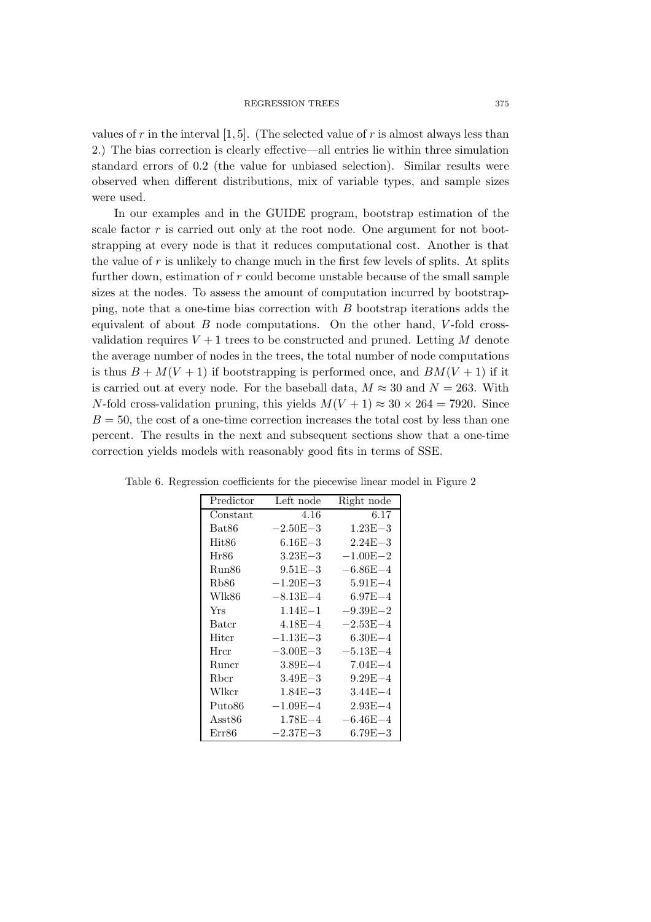values of r in the interval  $[1, 5]$ . (The selected value of r is almost always less than 2.) The bias correction is clearly effective—all entries lie within three simulation standard errors of 0.2 (the value for unbiased selection). Similar results were observed when different distributions, mix of variable types, and sample sizes were used.

In our examples and in the GUIDE program, bootstrap estimation of the scale factor r is carried out only at the root node. One argument for not bootstrapping at every node is that it reduces computational cost. Another is that the value of  $r$  is unlikely to change much in the first few levels of splits. At splits further down, estimation of  $r$  could become unstable because of the small sample sizes at the nodes. To assess the amount of computation incurred by bootstrapping, note that a one-time bias correction with B bootstrap iterations adds the equivalent of about  $B$  node computations. On the other hand,  $V$ -fold crossvalidation requires  $V + 1$  trees to be constructed and pruned. Letting M denote the average number of nodes in the trees, the total number of node computations is thus  $B + M(V + 1)$  if bootstrapping is performed once, and  $BM(V + 1)$  if it is carried out at every node. For the baseball data,  $M \approx 30$  and  $N = 263$ . With N-fold cross-validation pruning, this yields  $M(V + 1) \approx 30 \times 264 = 7920$ . Since  $B = 50$ , the cost of a one-time correction increases the total cost by less than one percent. The results in the next and subsequent sections show that a one-time correction yields models with reasonably good fits in terms of SSE.

| Predictor | Left node             | Right node   |
|-----------|-----------------------|--------------|
| Constant  | 4.16                  | 6.17         |
| Bat86     | $-2.50E{-}3$          | $1.23E - 3$  |
| Hit86     | $6.16E{-}3$           | $2.24E - 3$  |
| Hr86      | $3.23E - 3$           | $-1.00E - 2$ |
| Run86     | $9.51E - 3$           | $-6.86E{-4}$ |
| Rb86      | $-1.20E - 3$          | $5.91E - 4$  |
| Wlk86     | $-8.13E - 4$          | $6.97E - 4$  |
| Yrs       | $1.14E - 1$           | $-9.39E - 2$ |
| Batcr     | $4.18E - 4$           | $-2.53E - 4$ |
| Hitcr     | $-1.13\mathrm{E}{-3}$ | $6.30E - 4$  |
| Hrcr      | $-3.00E - 3$          | $-5.13E - 4$ |
| Runcr     | $3.89E - 4$           | $7.04E - 4$  |
| Rbcr      | $3.49E - 3$           | $9.29E - 4$  |
| Wlkcr     | $1.84E - 3$           | $3.44E - 4$  |
| Puto86    | $-1.09E{-4}$          | $2.93E - 4$  |
| Asst86    | $1.78E - 4$           | $-6.46E{-4}$ |
| Err86     | $-2.37E - 3$          | $6.79E - 3$  |

Table 6. Regression coefficients for the piecewise linear model in Figure 2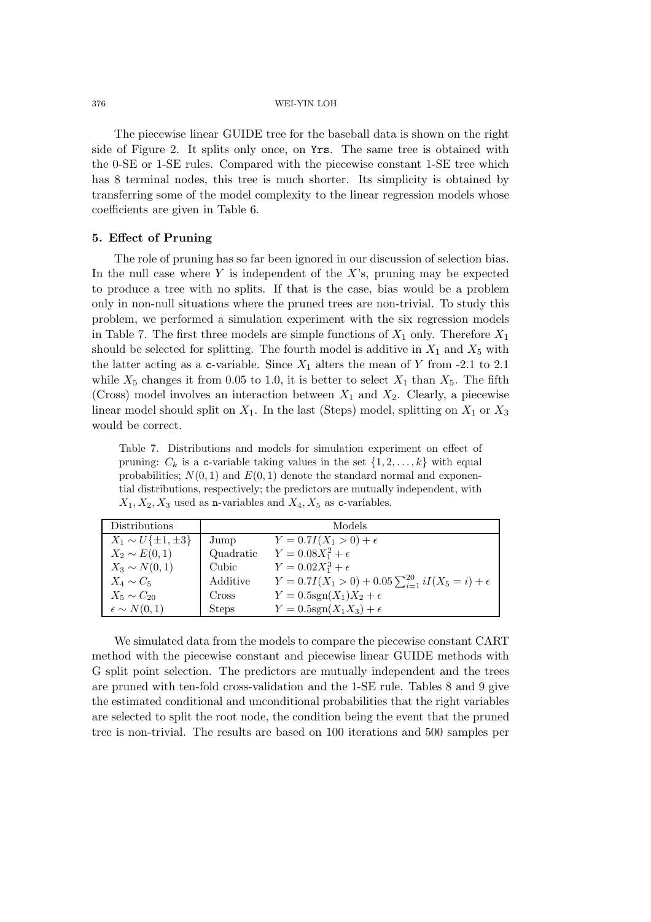The piecewise linear GUIDE tree for the baseball data is shown on the right side of Figure 2. It splits only once, on Yrs. The same tree is obtained with the 0-SE or 1-SE rules. Compared with the piecewise constant 1-SE tree which has 8 terminal nodes, this tree is much shorter. Its simplicity is obtained by transferring some of the model complexity to the linear regression models whose coefficients are given in Table 6.

## **5. Effect of Pruning**

The role of pruning has so far been ignored in our discussion of selection bias. In the null case where Y is independent of the  $X$ 's, pruning may be expected to produce a tree with no splits. If that is the case, bias would be a problem only in non-null situations where the pruned trees are non-trivial. To study this problem, we performed a simulation experiment with the six regression models in Table 7. The first three models are simple functions of  $X_1$  only. Therefore  $X_1$ should be selected for splitting. The fourth model is additive in  $X_1$  and  $X_5$  with the latter acting as a c-variable. Since  $X_1$  alters the mean of Y from -2.1 to 2.1 while  $X_5$  changes it from 0.05 to 1.0, it is better to select  $X_1$  than  $X_5$ . The fifth (Cross) model involves an interaction between  $X_1$  and  $X_2$ . Clearly, a piecewise linear model should split on  $X_1$ . In the last (Steps) model, splitting on  $X_1$  or  $X_3$ would be correct.

Table 7. Distributions and models for simulation experiment on effect of pruning:  $C_k$  is a c-variable taking values in the set  $\{1, 2, \ldots, k\}$  with equal probabilities;  $N(0, 1)$  and  $E(0, 1)$  denote the standard normal and exponential distributions, respectively; the predictors are mutually independent, with  $X_1, X_2, X_3$  used as n-variables and  $X_4, X_5$  as c-variables.

| <b>Distributions</b>         |              | Models                                                            |
|------------------------------|--------------|-------------------------------------------------------------------|
| $X_1 \sim U\{\pm 1, \pm 3\}$ | Jump         | $Y = 0.7I(X_1 > 0) + \epsilon$                                    |
| $X_2 \sim E(0,1)$            | Quadratic    | $Y = 0.08X_1^2 + \epsilon$                                        |
| $X_3 \sim N(0,1)$            | Cubic        | $Y = 0.02X_1^3 + \epsilon$                                        |
| $X_4 \sim C_5$               | Additive     | $Y = 0.7I(X_1 > 0) + 0.05 \sum_{i=1}^{20} iI(X_5 = i) + \epsilon$ |
| $X_5 \sim C_{20}$            | Cross        | $Y = 0.5$ sgn $(X_1)X_2 + \epsilon$                               |
| $\epsilon \sim N(0,1)$       | <b>Steps</b> | $Y = 0.5$ sgn $(X_1X_3) + \epsilon$                               |

We simulated data from the models to compare the piecewise constant CART method with the piecewise constant and piecewise linear GUIDE methods with G split point selection. The predictors are mutually independent and the trees are pruned with ten-fold cross-validation and the 1-SE rule. Tables 8 and 9 give the estimated conditional and unconditional probabilities that the right variables are selected to split the root node, the condition being the event that the pruned tree is non-trivial. The results are based on 100 iterations and 500 samples per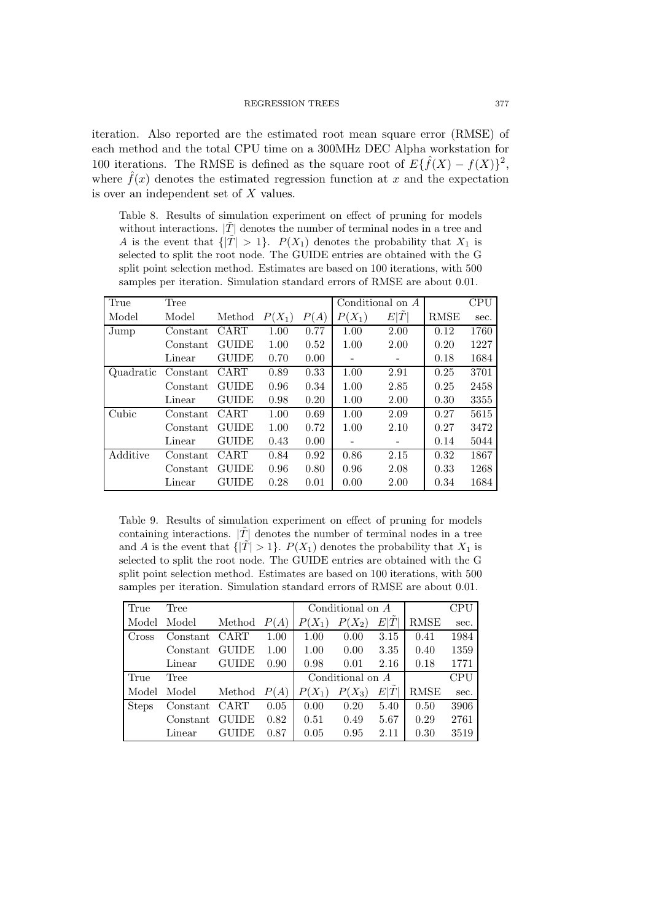iteration. Also reported are the estimated root mean square error (RMSE) of each method and the total CPU time on a 300MHz DEC Alpha workstation for 100 iterations. The RMSE is defined as the square root of  $E\{\hat{f}(X) - f(X)\}^2$ , where  $\hat{f}(x)$  denotes the estimated regression function at x and the expectation is over an independent set of X values.

Table 8. Results of simulation experiment on effect of pruning for models without interactions.  $|\tilde{T}|$  denotes the number of terminal nodes in a tree and A is the event that  $\{|T| > 1\}$ .  $P(X_1)$  denotes the probability that  $X_1$  is selected to split the root node. The GUIDE entries are obtained with the G split point selection method. Estimates are based on 100 iterations, with 500 samples per iteration. Simulation standard errors of RMSE are about 0.01.

| True      | Tree     |              |          |      |          | Conditional on A |             | CPU  |
|-----------|----------|--------------|----------|------|----------|------------------|-------------|------|
| Model     | Model    | Method       | $P(X_1)$ | P(A) | $P(X_1)$ | E T              | <b>RMSE</b> | sec. |
| Jump      | Constant | <b>CART</b>  | 1.00     | 0.77 | 1.00     | 2.00             | 0.12        | 1760 |
|           | Constant | <b>GUIDE</b> | 1.00     | 0.52 | 1.00     | 2.00             | 0.20        | 1227 |
|           | Linear   | <b>GUIDE</b> | 0.70     | 0.00 | -        | -                | 0.18        | 1684 |
| Quadratic | Constant | CART         | 0.89     | 0.33 | 1.00     | 2.91             | 0.25        | 3701 |
|           | Constant | <b>GUIDE</b> | 0.96     | 0.34 | 1.00     | 2.85             | 0.25        | 2458 |
|           | Linear   | <b>GUIDE</b> | 0.98     | 0.20 | 1.00     | 2.00             | 0.30        | 3355 |
| Cubic     | Constant | CART         | 1.00     | 0.69 | 1.00     | 2.09             | 0.27        | 5615 |
|           | Constant | <b>GUIDE</b> | 1.00     | 0.72 | 1.00     | 2.10             | 0.27        | 3472 |
|           | Linear   | <b>GUIDE</b> | 0.43     | 0.00 |          |                  | 0.14        | 5044 |
| Additive  | Constant | <b>CART</b>  | 0.84     | 0.92 | 0.86     | 2.15             | 0.32        | 1867 |
|           | Constant | <b>GUIDE</b> | 0.96     | 0.80 | 0.96     | 2.08             | 0.33        | 1268 |
|           | Linear   | <b>GUIDE</b> | 0.28     | 0.01 | 0.00     | 2.00             | 0.34        | 1684 |

Table 9. Results of simulation experiment on effect of pruning for models containing interactions.  $|\tilde{T}|$  denotes the number of terminal nodes in a tree and A is the event that  $\{|\tilde{T}| > 1\}$ .  $P(X_1)$  denotes the probability that  $X_1$  is selected to split the root node. The GUIDE entries are obtained with the G split point selection method. Estimates are based on 100 iterations, with 500 samples per iteration. Simulation standard errors of RMSE are about 0.01.

| True         | Tree     |              |      |          | Conditional on $A$ | CPU  |             |      |
|--------------|----------|--------------|------|----------|--------------------|------|-------------|------|
| Model        | Model    | Method       | P(A) | $P(X_1)$ | $P(X_2)$           | E T  | <b>RMSE</b> | sec. |
| Cross        | Constant | <b>CART</b>  | 1.00 | 1.00     | 0.00               | 3.15 | 0.41        | 1984 |
|              | Constant | <b>GUIDE</b> | 1.00 | 1.00     | 0.00               | 3.35 | 0.40        | 1359 |
|              | Linear   | <b>GUIDE</b> | 0.90 | 0.98     | 0.01               | 2.16 | 0.18        | 1771 |
| True         | Tree     |              |      |          | Conditional on $A$ |      |             | CPU  |
| Model        | Model    | Method       | P(A) | $P(X_1)$ | $P(X_3)$           | E T  | <b>RMSE</b> | sec. |
| <b>Steps</b> | Constant | CART         | 0.05 | 0.00     | 0.20               | 5.40 | 0.50        | 3906 |
|              | Constant | <b>GUIDE</b> | 0.82 | 0.51     | 0.49               | 5.67 | 0.29        | 2761 |
|              | Linear   | GUIDE        | 0.87 | 0.05     | 0.95               | 2.11 | 0.30        | 3519 |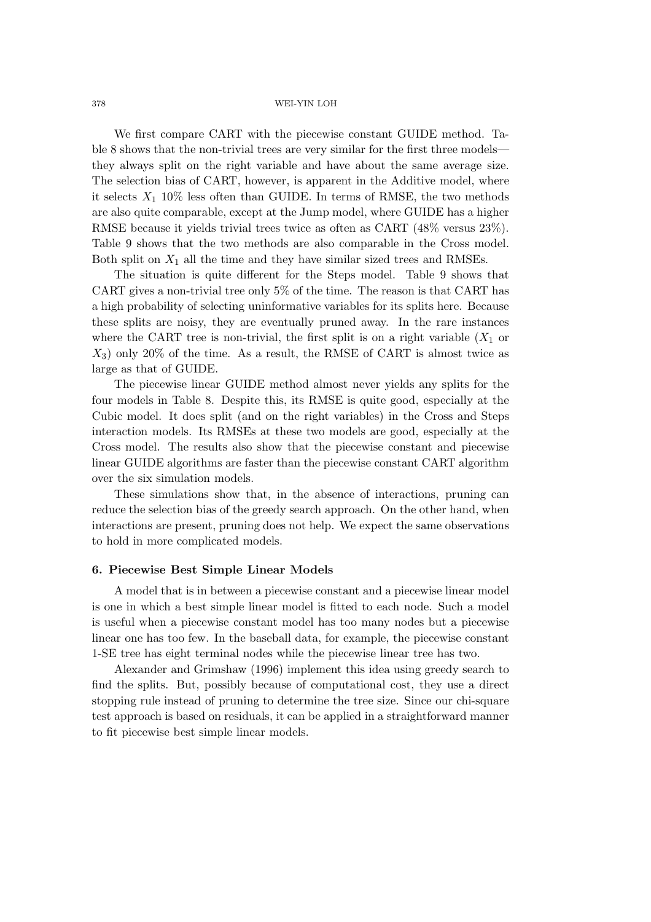We first compare CART with the piecewise constant GUIDE method. Table 8 shows that the non-trivial trees are very similar for the first three models they always split on the right variable and have about the same average size. The selection bias of CART, however, is apparent in the Additive model, where it selects  $X_1$  10% less often than GUIDE. In terms of RMSE, the two methods are also quite comparable, except at the Jump model, where GUIDE has a higher RMSE because it yields trivial trees twice as often as CART (48% versus 23%). Table 9 shows that the two methods are also comparable in the Cross model. Both split on  $X_1$  all the time and they have similar sized trees and RMSEs.

The situation is quite different for the Steps model. Table 9 shows that CART gives a non-trivial tree only 5% of the time. The reason is that CART has a high probability of selecting uninformative variables for its splits here. Because these splits are noisy, they are eventually pruned away. In the rare instances where the CART tree is non-trivial, the first split is on a right variable  $(X_1$  or  $X_3$ ) only 20% of the time. As a result, the RMSE of CART is almost twice as large as that of GUIDE.

The piecewise linear GUIDE method almost never yields any splits for the four models in Table 8. Despite this, its RMSE is quite good, especially at the Cubic model. It does split (and on the right variables) in the Cross and Steps interaction models. Its RMSEs at these two models are good, especially at the Cross model. The results also show that the piecewise constant and piecewise linear GUIDE algorithms are faster than the piecewise constant CART algorithm over the six simulation models.

These simulations show that, in the absence of interactions, pruning can reduce the selection bias of the greedy search approach. On the other hand, when interactions are present, pruning does not help. We expect the same observations to hold in more complicated models.

### **6. Piecewise Best Simple Linear Models**

A model that is in between a piecewise constant and a piecewise linear model is one in which a best simple linear model is fitted to each node. Such a model is useful when a piecewise constant model has too many nodes but a piecewise linear one has too few. In the baseball data, for example, the piecewise constant 1-SE tree has eight terminal nodes while the piecewise linear tree has two.

Alexander and Grimshaw (1996) implement this idea using greedy search to find the splits. But, possibly because of computational cost, they use a direct stopping rule instead of pruning to determine the tree size. Since our chi-square test approach is based on residuals, it can be applied in a straightforward manner to fit piecewise best simple linear models.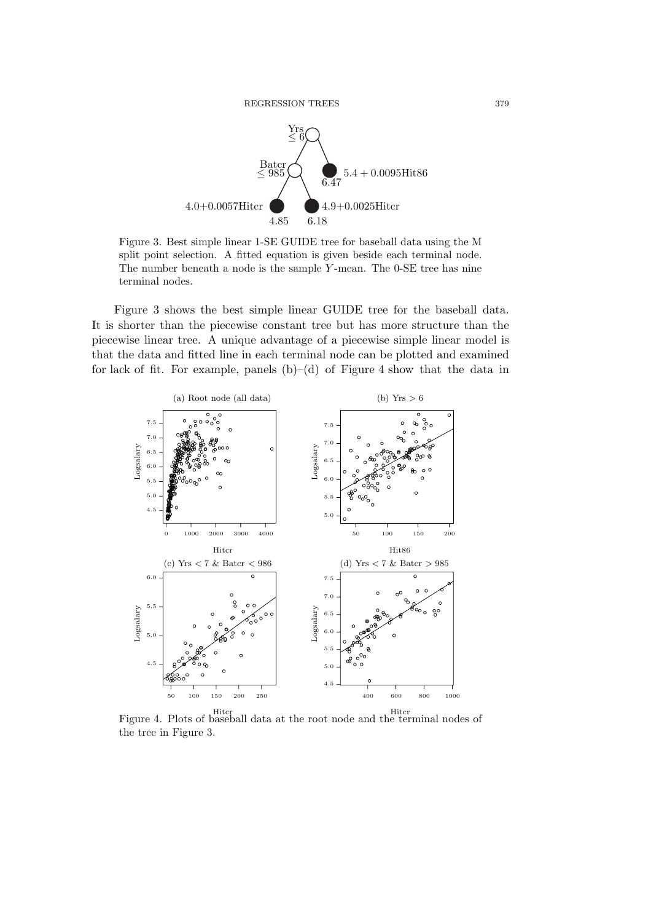

Figure 3. Best simple linear 1-SE GUIDE tree for baseball data using the M split point selection. A fitted equation is given beside each terminal node. The number beneath a node is the sample Y -mean. The 0-SE tree has nine terminal nodes.

Figure 3 shows the best simple linear GUIDE tree for the baseball data. It is shorter than the piecewise constant tree but has more structure than the piecewise linear tree. A unique advantage of a piecewise simple linear model is that the data and fitted line in each terminal node can be plotted and examined for lack of fit. For example, panels  $(b)$ – $(d)$  of Figure 4 show that the data in



Figure 4. Plots of baseball data at the root node and the terminal nodes of the tree in Figure 3.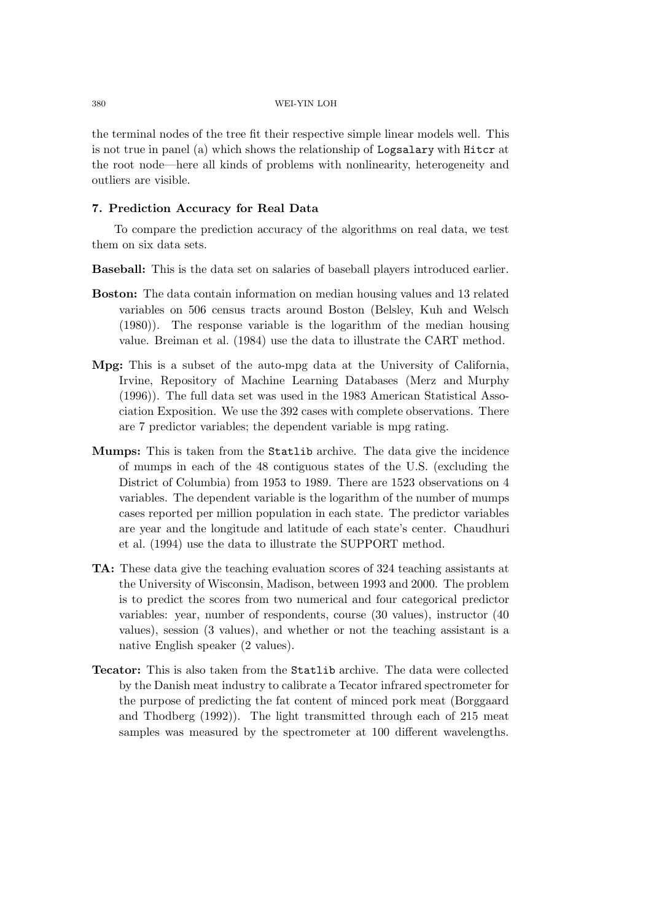the terminal nodes of the tree fit their respective simple linear models well. This is not true in panel (a) which shows the relationship of Logsalary with Hitcr at the root node—here all kinds of problems with nonlinearity, heterogeneity and outliers are visible.

# **7. Prediction Accuracy for Real Data**

To compare the prediction accuracy of the algorithms on real data, we test them on six data sets.

**Baseball:** This is the data set on salaries of baseball players introduced earlier.

- **Boston:** The data contain information on median housing values and 13 related variables on 506 census tracts around Boston (Belsley, Kuh and Welsch (1980)). The response variable is the logarithm of the median housing value. Breiman et al. (1984) use the data to illustrate the CART method.
- **Mpg:** This is a subset of the auto-mpg data at the University of California, Irvine, Repository of Machine Learning Databases (Merz and Murphy (1996)). The full data set was used in the 1983 American Statistical Association Exposition. We use the 392 cases with complete observations. There are 7 predictor variables; the dependent variable is mpg rating.
- **Mumps:** This is taken from the Statlib archive. The data give the incidence of mumps in each of the 48 contiguous states of the U.S. (excluding the District of Columbia) from 1953 to 1989. There are 1523 observations on 4 variables. The dependent variable is the logarithm of the number of mumps cases reported per million population in each state. The predictor variables are year and the longitude and latitude of each state's center. Chaudhuri et al. (1994) use the data to illustrate the SUPPORT method.
- **TA:** These data give the teaching evaluation scores of 324 teaching assistants at the University of Wisconsin, Madison, between 1993 and 2000. The problem is to predict the scores from two numerical and four categorical predictor variables: year, number of respondents, course (30 values), instructor (40 values), session (3 values), and whether or not the teaching assistant is a native English speaker (2 values).
- **Tecator:** This is also taken from the Statlib archive. The data were collected by the Danish meat industry to calibrate a Tecator infrared spectrometer for the purpose of predicting the fat content of minced pork meat (Borggaard and Thodberg (1992)). The light transmitted through each of 215 meat samples was measured by the spectrometer at 100 different wavelengths.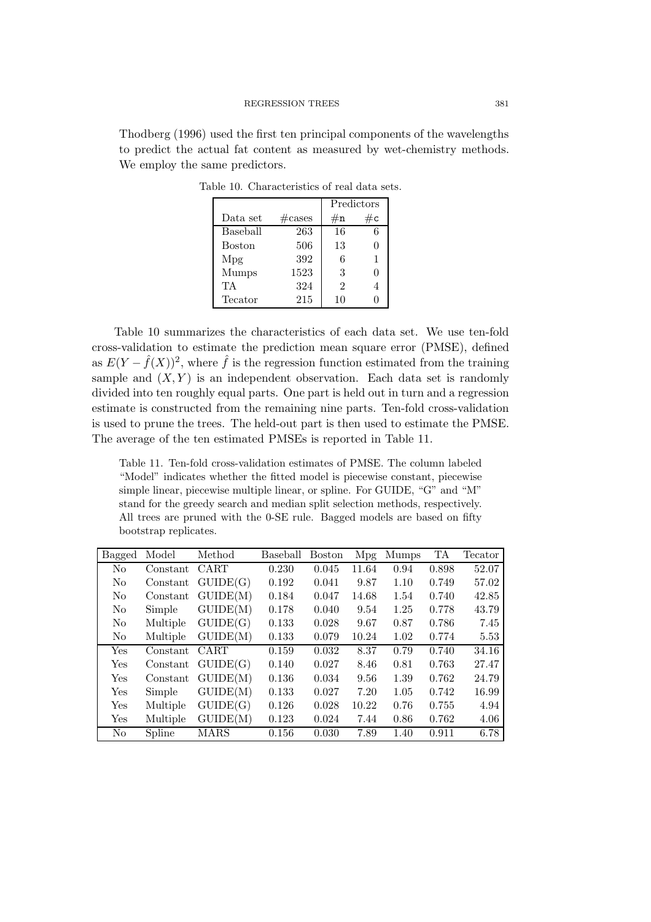Thodberg (1996) used the first ten principal components of the wavelengths to predict the actual fat content as measured by wet-chemistry methods. We employ the same predictors.

|               |                  | Predictors                  |    |  |
|---------------|------------------|-----------------------------|----|--|
| Data set      | $\#\text{cases}$ | $\#\mathbf{n}$              | #c |  |
| Baseball      | 263              | 16                          | 6  |  |
| <b>Boston</b> | 506              | 13                          | O  |  |
| Mpg           | 392              | 6                           |    |  |
| Mumps         | 1523             | 3                           | O  |  |
| TА            | 324              | $\mathcal{D}_{\mathcal{A}}$ |    |  |
| Tecator       | 215              | 10                          |    |  |

Table 10. Characteristics of real data sets.

Table 10 summarizes the characteristics of each data set. We use ten-fold cross-validation to estimate the prediction mean square error (PMSE), defined as  $E(Y - \hat{f}(X))^2$ , where  $\hat{f}$  is the regression function estimated from the training sample and  $(X, Y)$  is an independent observation. Each data set is randomly divided into ten roughly equal parts. One part is held out in turn and a regression estimate is constructed from the remaining nine parts. Ten-fold cross-validation is used to prune the trees. The held-out part is then used to estimate the PMSE. The average of the ten estimated PMSEs is reported in Table 11.

Table 11. Ten-fold cross-validation estimates of PMSE. The column labeled "Model" indicates whether the fitted model is piecewise constant, piecewise simple linear, piecewise multiple linear, or spline. For GUIDE, "G" and "M" stand for the greedy search and median split selection methods, respectively. All trees are pruned with the 0-SE rule. Bagged models are based on fifty bootstrap replicates.

| <b>Bagged</b>        | Model    | Method   | Baseball | <b>Boston</b> | <b>Mpg</b> | <b>Mumps</b> | TA    | Tecator |
|----------------------|----------|----------|----------|---------------|------------|--------------|-------|---------|
| No                   | Constant | CART     | 0.230    | 0.045         | 11.64      | 0.94         | 0.898 | 52.07   |
| N <sub>o</sub>       | Constant | GUIDE(G) | 0.192    | 0.041         | 9.87       | 1.10         | 0.749 | 57.02   |
| N <sub>o</sub>       | Constant | GUIDE(M) | 0.184    | 0.047         | 14.68      | 1.54         | 0.740 | 42.85   |
| N <sub>o</sub>       | Simple   | GUIDE(M) | 0.178    | 0.040         | 9.54       | 1.25         | 0.778 | 43.79   |
| N <sub>o</sub>       | Multiple | GUIDE(G) | 0.133    | 0.028         | 9.67       | 0.87         | 0.786 | 7.45    |
| No                   | Multiple | GUIDE(M) | 0.133    | 0.079         | 10.24      | 1.02         | 0.774 | 5.53    |
| Yes                  | Constant | CART     | 0.159    | 0.032         | 8.37       | 0.79         | 0.740 | 34.16   |
| Yes                  | Constant | GUIDE(G) | 0.140    | 0.027         | 8.46       | 0.81         | 0.763 | 27.47   |
| Yes                  | Constant | GUIDE(M) | 0.136    | 0.034         | 9.56       | 1.39         | 0.762 | 24.79   |
| Yes                  | Simple   | GUIDE(M) | 0.133    | 0.027         | 7.20       | 1.05         | 0.742 | 16.99   |
| Yes                  | Multiple | GUIDE(G) | 0.126    | 0.028         | 10.22      | 0.76         | 0.755 | 4.94    |
| $\operatorname{Yes}$ | Multiple | GUIDE(M) | 0.123    | 0.024         | 7.44       | 0.86         | 0.762 | 4.06    |
| No                   | Spline   | MARS     | 0.156    | 0.030         | 7.89       | 1.40         | 0.911 | 6.78    |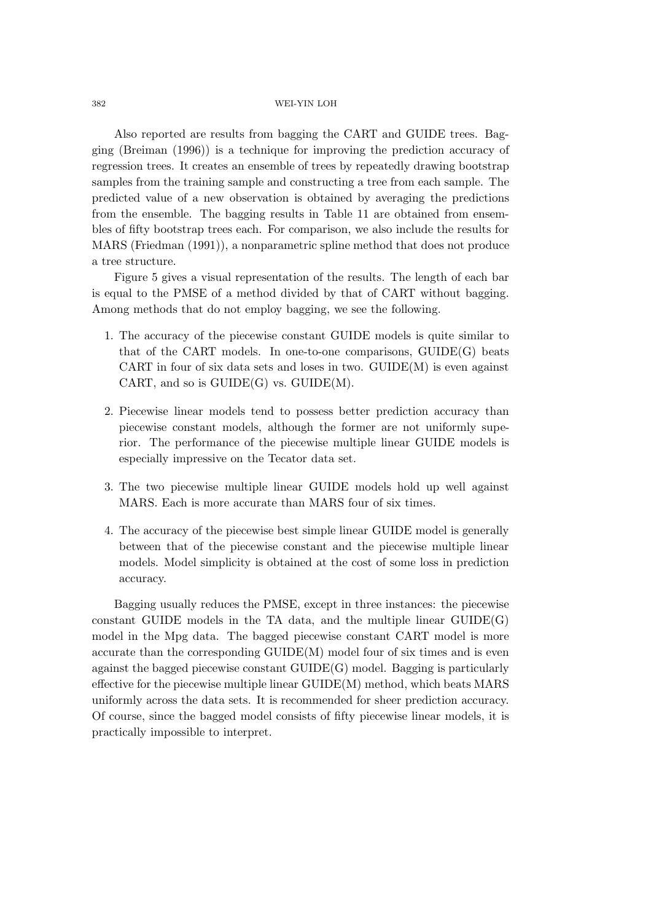Also reported are results from bagging the CART and GUIDE trees. Bagging (Breiman (1996)) is a technique for improving the prediction accuracy of regression trees. It creates an ensemble of trees by repeatedly drawing bootstrap samples from the training sample and constructing a tree from each sample. The predicted value of a new observation is obtained by averaging the predictions from the ensemble. The bagging results in Table 11 are obtained from ensembles of fifty bootstrap trees each. For comparison, we also include the results for MARS (Friedman (1991)), a nonparametric spline method that does not produce a tree structure.

Figure 5 gives a visual representation of the results. The length of each bar is equal to the PMSE of a method divided by that of CART without bagging. Among methods that do not employ bagging, we see the following.

- 1. The accuracy of the piecewise constant GUIDE models is quite similar to that of the CART models. In one-to-one comparisons, GUIDE(G) beats CART in four of six data sets and loses in two.  $\text{GUIDE}(M)$  is even against CART, and so is  $GUIDE(G)$  vs.  $GUIDE(M)$ .
- 2. Piecewise linear models tend to possess better prediction accuracy than piecewise constant models, although the former are not uniformly superior. The performance of the piecewise multiple linear GUIDE models is especially impressive on the Tecator data set.
- 3. The two piecewise multiple linear GUIDE models hold up well against MARS. Each is more accurate than MARS four of six times.
- 4. The accuracy of the piecewise best simple linear GUIDE model is generally between that of the piecewise constant and the piecewise multiple linear models. Model simplicity is obtained at the cost of some loss in prediction accuracy.

Bagging usually reduces the PMSE, except in three instances: the piecewise constant GUIDE models in the TA data, and the multiple linear GUIDE(G) model in the Mpg data. The bagged piecewise constant CART model is more accurate than the corresponding GUIDE(M) model four of six times and is even against the bagged piecewise constant GUIDE(G) model. Bagging is particularly effective for the piecewise multiple linear GUIDE(M) method, which beats MARS uniformly across the data sets. It is recommended for sheer prediction accuracy. Of course, since the bagged model consists of fifty piecewise linear models, it is practically impossible to interpret.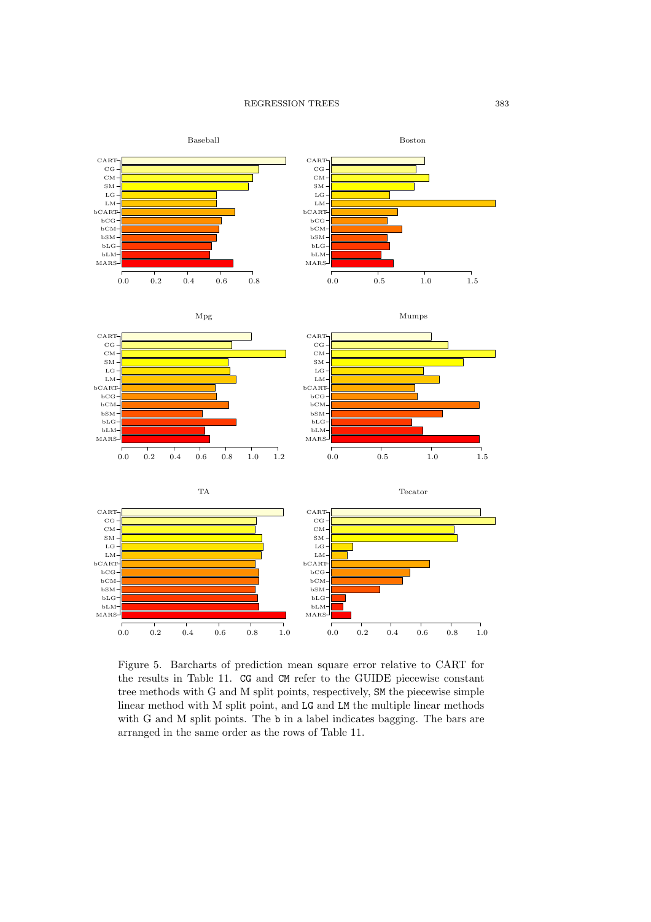











Figure 5. Barcharts of prediction mean square error relative to CART for the results in Table 11. CG and CM refer to the GUIDE piecewise constant tree methods with G and M split points, respectively, SM the piecewise simple linear method with M split point, and LG and LM the multiple linear methods with G and M split points. The b in a label indicates bagging. The bars are arranged in the same order as the rows of Table 11.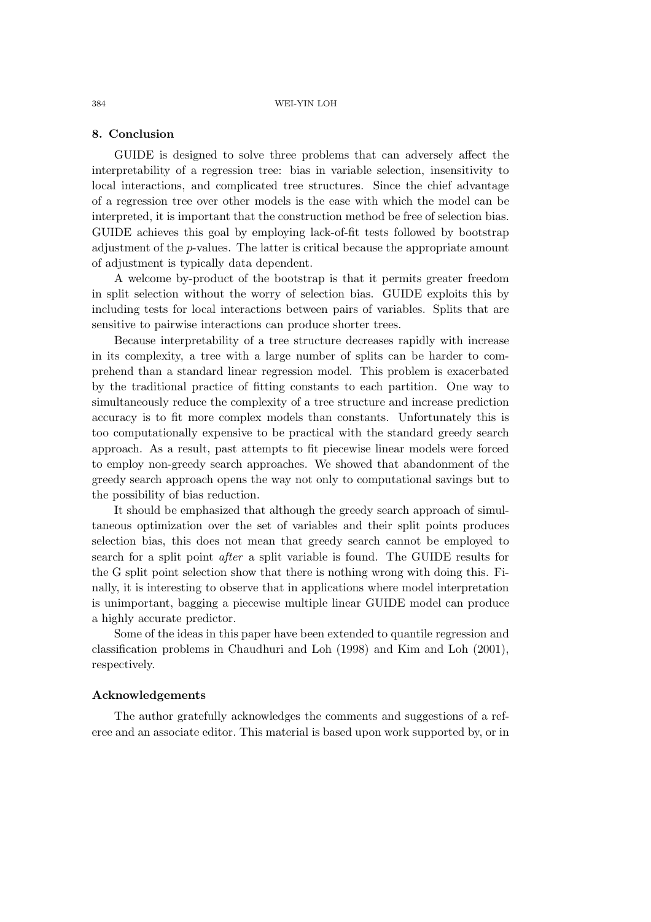### **8. Conclusion**

GUIDE is designed to solve three problems that can adversely affect the interpretability of a regression tree: bias in variable selection, insensitivity to local interactions, and complicated tree structures. Since the chief advantage of a regression tree over other models is the ease with which the model can be interpreted, it is important that the construction method be free of selection bias. GUIDE achieves this goal by employing lack-of-fit tests followed by bootstrap adjustment of the p-values. The latter is critical because the appropriate amount of adjustment is typically data dependent.

A welcome by-product of the bootstrap is that it permits greater freedom in split selection without the worry of selection bias. GUIDE exploits this by including tests for local interactions between pairs of variables. Splits that are sensitive to pairwise interactions can produce shorter trees.

Because interpretability of a tree structure decreases rapidly with increase in its complexity, a tree with a large number of splits can be harder to comprehend than a standard linear regression model. This problem is exacerbated by the traditional practice of fitting constants to each partition. One way to simultaneously reduce the complexity of a tree structure and increase prediction accuracy is to fit more complex models than constants. Unfortunately this is too computationally expensive to be practical with the standard greedy search approach. As a result, past attempts to fit piecewise linear models were forced to employ non-greedy search approaches. We showed that abandonment of the greedy search approach opens the way not only to computational savings but to the possibility of bias reduction.

It should be emphasized that although the greedy search approach of simultaneous optimization over the set of variables and their split points produces selection bias, this does not mean that greedy search cannot be employed to search for a split point *after* a split variable is found. The GUIDE results for the G split point selection show that there is nothing wrong with doing this. Finally, it is interesting to observe that in applications where model interpretation is unimportant, bagging a piecewise multiple linear GUIDE model can produce a highly accurate predictor.

Some of the ideas in this paper have been extended to quantile regression and classification problems in Chaudhuri and Loh (1998) and Kim and Loh (2001), respectively.

# **Acknowledgements**

The author gratefully acknowledges the comments and suggestions of a referee and an associate editor. This material is based upon work supported by, or in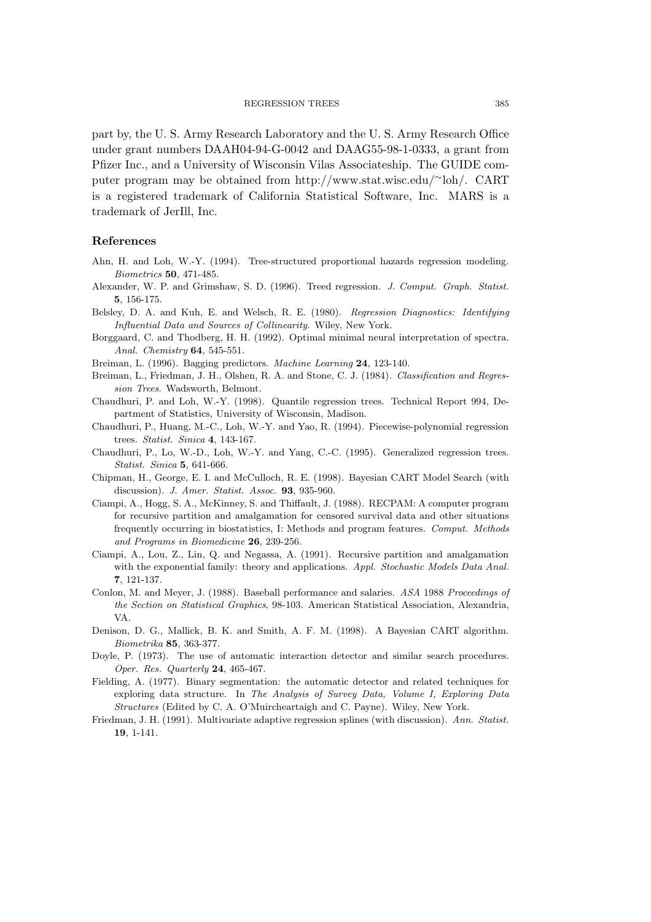part by, the U. S. Army Research Laboratory and the U. S. Army Research Office under grant numbers DAAH04-94-G-0042 and DAAG55-98-1-0333, a grant from Pfizer Inc., and a University of Wisconsin Vilas Associateship. The GUIDE computer program may be obtained from http://www.stat.wisc.edu/∼loh/. CART is a registered trademark of California Statistical Software, Inc. MARS is a trademark of JerIll, Inc.

# **References**

- Ahn, H. and Loh, W.-Y. (1994). Tree-structured proportional hazards regression modeling. *Biometrics* **50**, 471-485.
- Alexander, W. P. and Grimshaw, S. D. (1996). Treed regression. *J. Comput. Graph. Statist.* **5**, 156-175.
- Belsley, D. A. and Kuh, E. and Welsch, R. E. (1980). *Regression Diagnostics: Identifying Influential Data and Sources of Collinearity*. Wiley, New York.
- Borggaard, C. and Thodberg, H. H. (1992). Optimal minimal neural interpretation of spectra. *Anal. Chemistry* **64**, 545-551.
- Breiman, L. (1996). Bagging predictors. *Machine Learning* **24**, 123-140.
- Breiman, L., Friedman, J. H., Olshen, R. A. and Stone, C. J. (1984). *Classification and Regression Trees*. Wadsworth, Belmont.
- Chaudhuri, P. and Loh, W.-Y. (1998). Quantile regression trees. Technical Report 994, Department of Statistics, University of Wisconsin, Madison.
- Chaudhuri, P., Huang, M.-C., Loh, W.-Y. and Yao, R. (1994). Piecewise-polynomial regression trees. *Statist. Sinica* **4**, 143-167.
- Chaudhuri, P., Lo, W.-D., Loh, W.-Y. and Yang, C.-C. (1995). Generalized regression trees. *Statist. Sinica* **5**, 641-666.
- Chipman, H., George, E. I. and McCulloch, R. E. (1998). Bayesian CART Model Search (with discussion). *J. Amer. Statist. Assoc.* **93**, 935-960.
- Ciampi, A., Hogg, S. A., McKinney, S. and Thiffault, J. (1988). RECPAM: A computer program for recursive partition and amalgamation for censored survival data and other situations frequently occurring in biostatistics, I: Methods and program features. *Comput. Methods and Programs in Biomedicine* **26**, 239-256.
- Ciampi, A., Lou, Z., Lin, Q. and Negassa, A. (1991). Recursive partition and amalgamation with the exponential family: theory and applications. *Appl. Stochastic Models Data Anal.* **7**, 121-137.
- Conlon, M. and Meyer, J. (1988). Baseball performance and salaries. *ASA* 1988 *Proceedings of the Section on Statistical Graphics*, 98-103. American Statistical Association, Alexandria, VA.
- Denison, D. G., Mallick, B. K. and Smith, A. F. M. (1998). A Bayesian CART algorithm. *Biometrika* **85**, 363-377.
- Doyle, P. (1973). The use of automatic interaction detector and similar search procedures. *Oper. Res. Quarterly* **24**, 465-467.
- Fielding, A. (1977). Binary segmentation: the automatic detector and related techniques for exploring data structure. In *The Analysis of Survey Data, Volume I, Exploring Data Structures* (Edited by C. A. O'Muircheartaigh and C. Payne). Wiley, New York.
- Friedman, J. H. (1991). Multivariate adaptive regression splines (with discussion). *Ann. Statist.* **19**, 1-141.